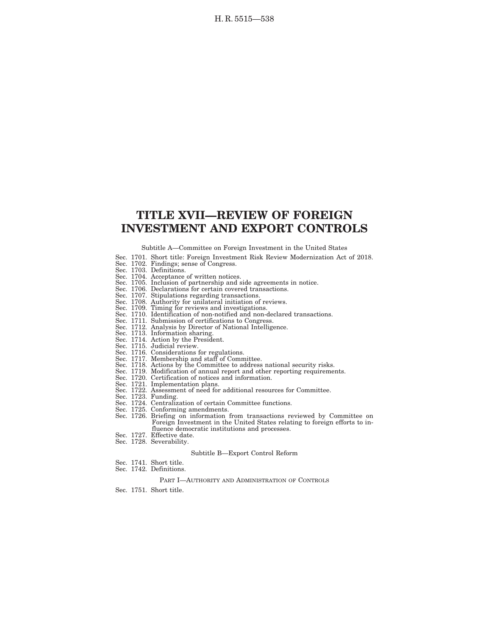# **TITLE XVII—REVIEW OF FOREIGN INVESTMENT AND EXPORT CONTROLS**

Subtitle A—Committee on Foreign Investment in the United States

- Sec. 1701. Short title: Foreign Investment Risk Review Modernization Act of 2018.
- Sec. 1702. Findings; sense of Congress. Sec. 1703. Definitions.
- 
- 
- Sec. 1704. Acceptance of written notices. Sec. 1705. Inclusion of partnership and side agreements in notice.
- Sec. 1706. Declarations for certain covered transactions.
- Sec. 1707. Stipulations regarding transactions.
- 
- 
- Sec. 1708. Authority for unilateral initiation of reviews.<br>Sec. 1709. Timing for reviews and investigations.<br>Sec. 1710. Identification of non-notified and non-declared transactions.<br>Sec. 1711. Submission of certifications
- 
- Sec. 1712. Analysis by Director of National Intelligence.
- Sec. 1713. Information sharing.
- 
- 
- 
- 
- Sec. 1714. Action by the President.<br>Sec. 1715. Judicial review.<br>Sec. 1716. Considerations for regulations.<br>Sec. 1716. Considerations for regulations.<br>Sec. 1717. Membership and staff of Committee.<br>Sec. 1718. Actions by the
- 
- 
- 
- Sec. 1722. Assessment of need for additional resources for Committee. Sec. 1723. Funding.
- 
- Sec. 1724. Centralization of certain Committee functions.<br>Sec. 1725. Conforming amendments.
- Conforming amendments.
- Sec. 1726. Briefing on information from transactions reviewed by Committee on Foreign Investment in the United States relating to foreign efforts to influence democratic institutions and processes.
- Sec. 1727. Effective date. Sec. 1728. Severability.
- 

#### Subtitle B—Export Control Reform

- Sec. 1741. Short title. Sec. 1742. Definitions.
- 

#### PART I—AUTHORITY AND ADMINISTRATION OF CONTROLS

Sec. 1751. Short title.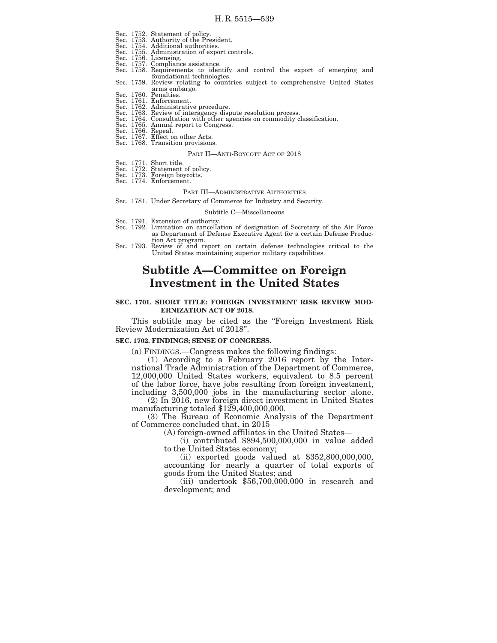- 
- Sec. 1752. Statement of policy. Sec. 1753. Authority of the President. Sec. 1754. Additional authorities.
- 
- Sec. 1755. Administration of export controls. Sec. 1756. Licensing.
- 
- Sec. 1757. Compliance assistance. Sec. 1758. Requirements to identify and control the export of emerging and
- foundational technologies. Sec. 1759. Review relating to countries subject to comprehensive United States arms embargo. Sec. 1760. Penalties.
- 
- Sec. 1761. Enforcement.<br>Sec. 1762. Administrati
- Administrative procedure.
- Sec. 1763. Review of interagency dispute resolution process.<br>Sec. 1764. Consultation with other agencies on commodity of Consultation with other agencies on commodity classification.
- Sec. 1765. Annual report to Congress. Sec. 1766. Repeal.
- 
- Sec. 1767. Effect on other Acts. Sec. 1768. Transition provisions.
- 

#### PART II—ANTI-BOYCOTT ACT OF 2018

- Sec. 1771. Short title.
- Sec. 1772. Statement of policy.
- Sec. 1773. Foreign boycotts.
- Sec. 1774. Enforcement.

#### PART III—ADMINISTRATIVE AUTHORITIES

#### Sec. 1781. Under Secretary of Commerce for Industry and Security.

Subtitle C—Miscellaneous

- Sec. 1791. Extension of authority.
- Sec. 1792. Limitation on cancellation of designation of Secretary of the Air Force as Department of Defense Executive Agent for a certain Defense Produc-
- Sec. 1793. Review of and report on certain defense technologies critical to the United States maintaining superior military capabilities.

# **Subtitle A—Committee on Foreign Investment in the United States**

#### **SEC. 1701. SHORT TITLE: FOREIGN INVESTMENT RISK REVIEW MOD-ERNIZATION ACT OF 2018.**

This subtitle may be cited as the "Foreign Investment Risk" Review Modernization Act of 2018''.

#### **SEC. 1702. FINDINGS; SENSE OF CONGRESS.**

(a) FINDINGS.—Congress makes the following findings:

(1) According to a February 2016 report by the International Trade Administration of the Department of Commerce, 12,000,000 United States workers, equivalent to 8.5 percent of the labor force, have jobs resulting from foreign investment, including 3,500,000 jobs in the manufacturing sector alone.

(2) In 2016, new foreign direct investment in United States manufacturing totaled \$129,400,000,000.

(3) The Bureau of Economic Analysis of the Department of Commerce concluded that, in 2015—

(A) foreign-owned affiliates in the United States—

(i) contributed \$894,500,000,000 in value added to the United States economy;

(ii) exported goods valued at  $$352,800,000,000$ , accounting for nearly a quarter of total exports of goods from the United States; and

(iii) undertook \$56,700,000,000 in research and development; and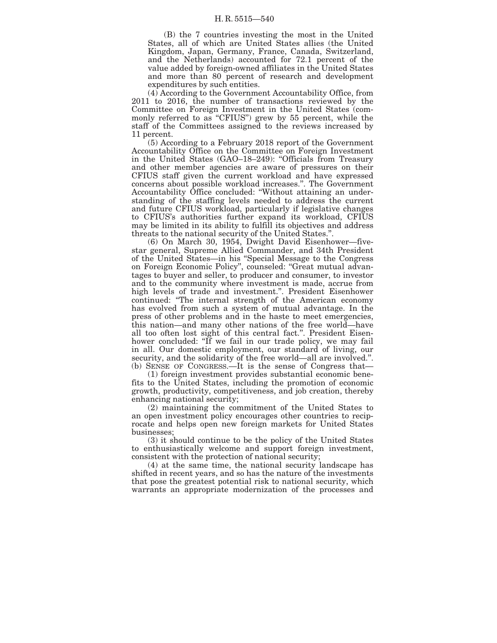(B) the 7 countries investing the most in the United States, all of which are United States allies (the United Kingdom, Japan, Germany, France, Canada, Switzerland, and the Netherlands) accounted for 72.1 percent of the value added by foreign-owned affiliates in the United States and more than 80 percent of research and development expenditures by such entities.

(4) According to the Government Accountability Office, from 2011 to 2016, the number of transactions reviewed by the Committee on Foreign Investment in the United States (commonly referred to as "CFIUS") grew by 55 percent, while the staff of the Committees assigned to the reviews increased by 11 percent.

(5) According to a February 2018 report of the Government Accountability Office on the Committee on Foreign Investment in the United States (GAO–18–249): "Officials from Treasury and other member agencies are aware of pressures on their CFIUS staff given the current workload and have expressed concerns about possible workload increases.''. The Government Accountability Office concluded: ''Without attaining an understanding of the staffing levels needed to address the current and future CFIUS workload, particularly if legislative changes to CFIUS's authorities further expand its workload, CFIUS may be limited in its ability to fulfill its objectives and address threats to the national security of the United States.''.

(6) On March 30, 1954, Dwight David Eisenhower—fivestar general, Supreme Allied Commander, and 34th President of the United States—in his ''Special Message to the Congress on Foreign Economic Policy'', counseled: ''Great mutual advantages to buyer and seller, to producer and consumer, to investor and to the community where investment is made, accrue from high levels of trade and investment.''. President Eisenhower continued: ''The internal strength of the American economy has evolved from such a system of mutual advantage. In the press of other problems and in the haste to meet emergencies, this nation—and many other nations of the free world—have all too often lost sight of this central fact.''. President Eisenhower concluded: "If we fail in our trade policy, we may fail in all. Our domestic employment, our standard of living, our security, and the solidarity of the free world—all are involved.". (b) SENSE OF CONGRESS.—It is the sense of Congress that—

(1) foreign investment provides substantial economic benefits to the United States, including the promotion of economic growth, productivity, competitiveness, and job creation, thereby enhancing national security;

(2) maintaining the commitment of the United States to an open investment policy encourages other countries to reciprocate and helps open new foreign markets for United States businesses;

(3) it should continue to be the policy of the United States to enthusiastically welcome and support foreign investment, consistent with the protection of national security;

(4) at the same time, the national security landscape has shifted in recent years, and so has the nature of the investments that pose the greatest potential risk to national security, which warrants an appropriate modernization of the processes and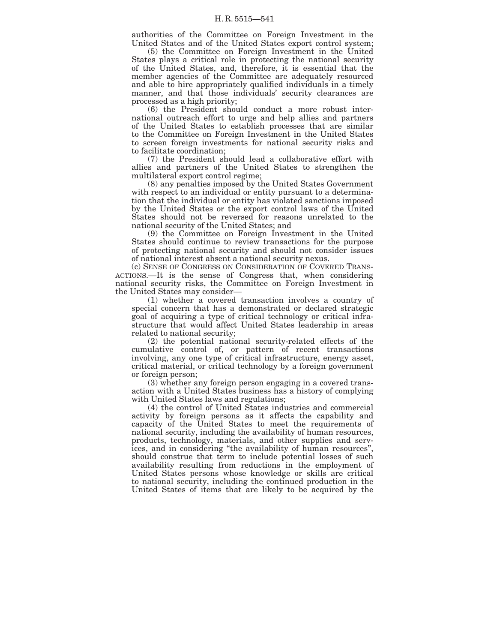authorities of the Committee on Foreign Investment in the United States and of the United States export control system;

(5) the Committee on Foreign Investment in the United States plays a critical role in protecting the national security of the United States, and, therefore, it is essential that the member agencies of the Committee are adequately resourced and able to hire appropriately qualified individuals in a timely manner, and that those individuals' security clearances are processed as a high priority;

(6) the President should conduct a more robust international outreach effort to urge and help allies and partners of the United States to establish processes that are similar to the Committee on Foreign Investment in the United States to screen foreign investments for national security risks and to facilitate coordination;

(7) the President should lead a collaborative effort with allies and partners of the United States to strengthen the multilateral export control regime;

(8) any penalties imposed by the United States Government with respect to an individual or entity pursuant to a determination that the individual or entity has violated sanctions imposed by the United States or the export control laws of the United States should not be reversed for reasons unrelated to the national security of the United States; and

(9) the Committee on Foreign Investment in the United States should continue to review transactions for the purpose of protecting national security and should not consider issues of national interest absent a national security nexus.

(c) SENSE OF CONGRESS ON CONSIDERATION OF COVERED TRANS-ACTIONS.—It is the sense of Congress that, when considering national security risks, the Committee on Foreign Investment in the United States may consider—

(1) whether a covered transaction involves a country of special concern that has a demonstrated or declared strategic goal of acquiring a type of critical technology or critical infrastructure that would affect United States leadership in areas related to national security;

(2) the potential national security-related effects of the cumulative control of, or pattern of recent transactions involving, any one type of critical infrastructure, energy asset, critical material, or critical technology by a foreign government or foreign person;

(3) whether any foreign person engaging in a covered transaction with a United States business has a history of complying with United States laws and regulations;

(4) the control of United States industries and commercial activity by foreign persons as it affects the capability and capacity of the United States to meet the requirements of national security, including the availability of human resources, products, technology, materials, and other supplies and services, and in considering "the availability of human resources", should construe that term to include potential losses of such availability resulting from reductions in the employment of United States persons whose knowledge or skills are critical to national security, including the continued production in the United States of items that are likely to be acquired by the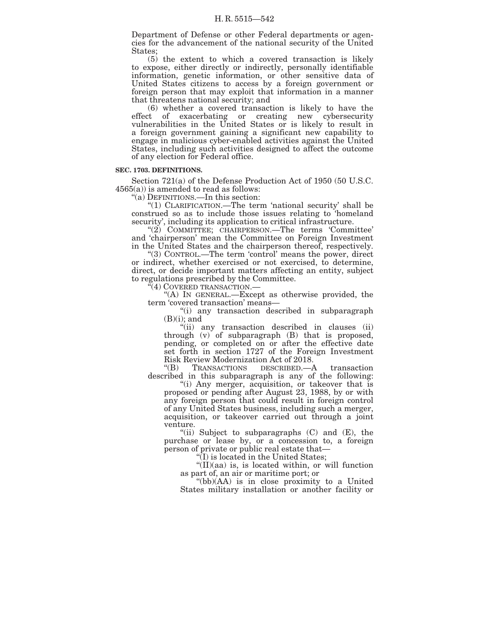Department of Defense or other Federal departments or agencies for the advancement of the national security of the United States;

(5) the extent to which a covered transaction is likely to expose, either directly or indirectly, personally identifiable information, genetic information, or other sensitive data of United States citizens to access by a foreign government or foreign person that may exploit that information in a manner that threatens national security; and

(6) whether a covered transaction is likely to have the effect of exacerbating or creating new cybersecurity vulnerabilities in the United States or is likely to result in a foreign government gaining a significant new capability to engage in malicious cyber-enabled activities against the United States, including such activities designed to affect the outcome of any election for Federal office.

# **SEC. 1703. DEFINITIONS.**

Section 721(a) of the Defense Production Act of 1950 (50 U.S.C.  $4565(a)$  is amended to read as follows:

''(a) DEFINITIONS.—In this section:

''(1) CLARIFICATION.—The term 'national security' shall be construed so as to include those issues relating to 'homeland security', including its application to critical infrastructure.

"(2) COMMITTEE; CHAIRPERSON.—The terms 'Committee' and 'chairperson' mean the Committee on Foreign Investment in the United States and the chairperson thereof, respectively.

''(3) CONTROL.—The term 'control' means the power, direct or indirect, whether exercised or not exercised, to determine, direct, or decide important matters affecting an entity, subject to regulations prescribed by the Committee.

''(4) COVERED TRANSACTION.—

"(A) IN GENERAL.—Except as otherwise provided, the term 'covered transaction' means—

''(i) any transaction described in subparagraph  $(B)(i)$ ; and

''(ii) any transaction described in clauses (ii) through (v) of subparagraph (B) that is proposed, pending, or completed on or after the effective date set forth in section 1727 of the Foreign Investment Risk Review Modernization Act of 2018.<br>"(B) TRANSACTIONS DESCRIBED.—

TRANSACTIONS DESCRIBED.—A transaction described in this subparagraph is any of the following:

"(i) Any merger, acquisition, or takeover that is proposed or pending after August 23, 1988, by or with any foreign person that could result in foreign control of any United States business, including such a merger, acquisition, or takeover carried out through a joint venture.

"(ii) Subject to subparagraphs  $(C)$  and  $(E)$ , the purchase or lease by, or a concession to, a foreign person of private or public real estate that—

''(I) is located in the United States;

''(II)(aa) is, is located within, or will function as part of, an air or maritime port; or

''(bb)(AA) is in close proximity to a United States military installation or another facility or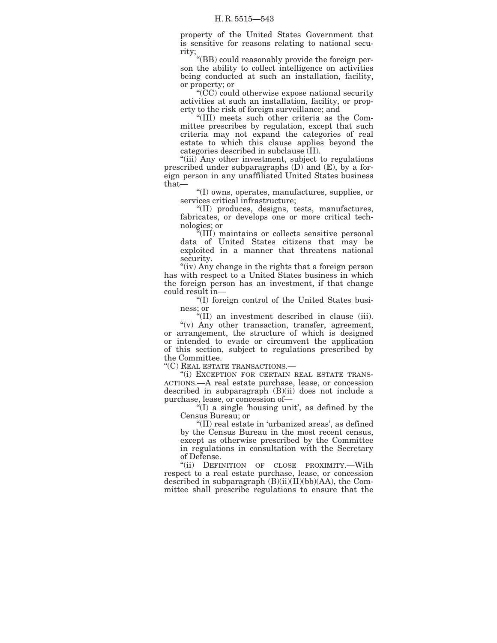property of the United States Government that is sensitive for reasons relating to national security;

''(BB) could reasonably provide the foreign person the ability to collect intelligence on activities being conducted at such an installation, facility, or property; or

''(CC) could otherwise expose national security activities at such an installation, facility, or property to the risk of foreign surveillance; and

''(III) meets such other criteria as the Committee prescribes by regulation, except that such criteria may not expand the categories of real estate to which this clause applies beyond the categories described in subclause (II).

"(iii) Any other investment, subject to regulations prescribed under subparagraphs  $(D)$  and  $(E)$ , by a foreign person in any unaffiliated United States business that—

''(I) owns, operates, manufactures, supplies, or services critical infrastructure;

''(II) produces, designs, tests, manufactures, fabricates, or develops one or more critical technologies; or

 $\sqrt[4]{\text{III}}$ ) maintains or collects sensitive personal data of United States citizens that may be exploited in a manner that threatens national security.

"(iv) Any change in the rights that a foreign person has with respect to a United States business in which the foreign person has an investment, if that change could result in—

''(I) foreign control of the United States business; or

''(II) an investment described in clause (iii).

''(v) Any other transaction, transfer, agreement, or arrangement, the structure of which is designed or intended to evade or circumvent the application of this section, subject to regulations prescribed by the Committee.

''(C) REAL ESTATE TRANSACTIONS.—

"(i) EXCEPTION FOR CERTAIN REAL ESTATE TRANS-ACTIONS.—A real estate purchase, lease, or concession described in subparagraph (B)(ii) does not include a purchase, lease, or concession of—

"(I) a single 'housing unit', as defined by the Census Bureau; or

''(II) real estate in 'urbanized areas', as defined by the Census Bureau in the most recent census, except as otherwise prescribed by the Committee in regulations in consultation with the Secretary of Defense.

"(ii) DEFINITION OF CLOSE PROXIMITY.—With respect to a real estate purchase, lease, or concession described in subparagraph  $(B)(ii)(II)(bb)(AA)$ , the Committee shall prescribe regulations to ensure that the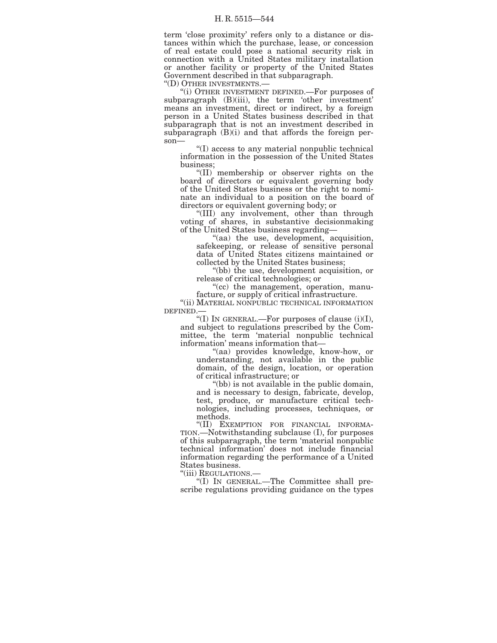term 'close proximity' refers only to a distance or dis- tances within which the purchase, lease, or concession of real estate could pose a national security risk in connection with a United States military installation or another facility or property of the United States Government described in that subparagraph.

''(D) OTHER INVESTMENTS.—

''(i) OTHER INVESTMENT DEFINED.—For purposes of subparagraph (B)(iii), the term 'other investment' means an investment, direct or indirect, by a foreign person in a United States business described in that subparagraph that is not an investment described in subparagraph  $(B)(i)$  and that affords the foreign person—

''(I) access to any material nonpublic technical information in the possession of the United States business;

''(II) membership or observer rights on the board of directors or equivalent governing body of the United States business or the right to nominate an individual to a position on the board of directors or equivalent governing body; or

''(III) any involvement, other than through voting of shares, in substantive decisionmaking of the United States business regarding—

"(aa) the use, development, acquisition, safekeeping, or release of sensitive personal data of United States citizens maintained or collected by the United States business;

''(bb) the use, development acquisition, or release of critical technologies; or

''(cc) the management, operation, manufacture, or supply of critical infrastructure.

''(ii) MATERIAL NONPUBLIC TECHNICAL INFORMATION DEFINED.—

"(I) IN GENERAL.—For purposes of clause  $(i)(I)$ , and subject to regulations prescribed by the Committee, the term 'material nonpublic technical information' means information that—

''(aa) provides knowledge, know-how, or understanding, not available in the public domain, of the design, location, or operation of critical infrastructure; or

''(bb) is not available in the public domain, and is necessary to design, fabricate, develop, test, produce, or manufacture critical technologies, including processes, techniques, or methods.<br>"(II) EXEMPTION FOR FINANCIAL INFORMA-

TION.—Notwithstanding subclause (I), for purposes of this subparagraph, the term 'material nonpublic technical information' does not include financial information regarding the performance of a United States business.<br>"(iii) REGULATIONS.—

''(iii) REGULATIONS.— ''(I) IN GENERAL.—The Committee shall pre- scribe regulations providing guidance on the types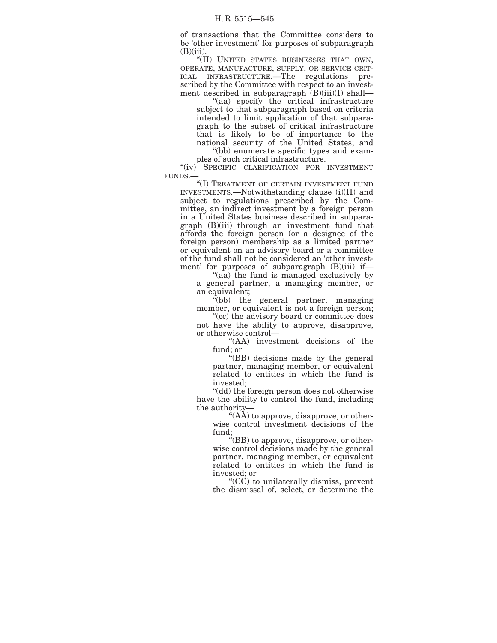of transactions that the Committee considers to be 'other investment' for purposes of subparagraph  $(B)(iii)$ .

''(II) UNITED STATES BUSINESSES THAT OWN, OPERATE, MANUFACTURE, SUPPLY, OR SERVICE CRIT-ICAL INFRASTRUCTURE.—The regulations prescribed by the Committee with respect to an investment described in subparagraph  $(B)(iii)(I)$  shall—

''(aa) specify the critical infrastructure subject to that subparagraph based on criteria intended to limit application of that subparagraph to the subset of critical infrastructure that is likely to be of importance to the national security of the United States; and ''(bb) enumerate specific types and exam-

ples of such critical infrastructure.

"(iv) SPECIFIC CLARIFICATION FOR INVESTMENT FUNDS.—

"(I) TREATMENT OF CERTAIN INVESTMENT FUND INVESTMENTS.—Notwithstanding clause (i)(II) and subject to regulations prescribed by the Committee, an indirect investment by a foreign person in a United States business described in subparagraph (B)(iii) through an investment fund that affords the foreign person (or a designee of the foreign person) membership as a limited partner or equivalent on an advisory board or a committee of the fund shall not be considered an 'other investment' for purposes of subparagraph (B)(iii) if—

''(aa) the fund is managed exclusively by a general partner, a managing member, or an equivalent;

 $F(bb)$  the general partner, managing member, or equivalent is not a foreign person;

"(cc) the advisory board or committee does" not have the ability to approve, disapprove, or otherwise control—

''(AA) investment decisions of the fund; or

''(BB) decisions made by the general partner, managing member, or equivalent related to entities in which the fund is invested;

''(dd) the foreign person does not otherwise have the ability to control the fund, including the authority—

 $(A\AA)$  to approve, disapprove, or otherwise control investment decisions of the fund;

''(BB) to approve, disapprove, or otherwise control decisions made by the general partner, managing member, or equivalent related to entities in which the fund is invested; or

''(CC) to unilaterally dismiss, prevent the dismissal of, select, or determine the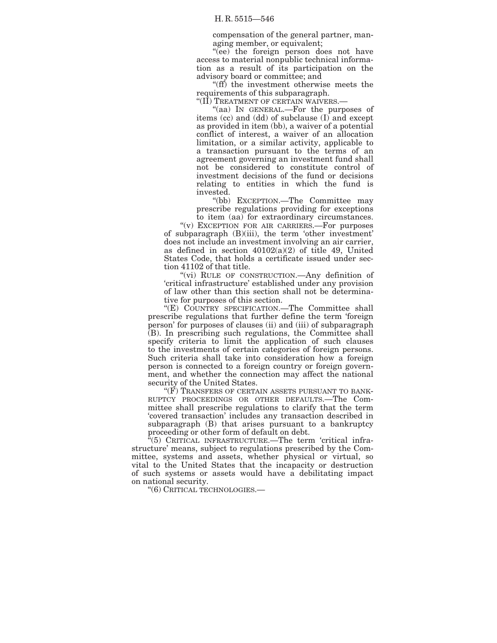compensation of the general partner, managing member, or equivalent;

''(ee) the foreign person does not have access to material nonpublic technical information as a result of its participation on the advisory board or committee; and

''(ff) the investment otherwise meets the requirements of this subparagraph.

"(II) TREATMENT OF CERTAIN WAIVERS.-

''(aa) IN GENERAL.—For the purposes of items (cc) and (dd) of subclause (I) and except as provided in item (bb), a waiver of a potential conflict of interest, a waiver of an allocation limitation, or a similar activity, applicable to a transaction pursuant to the terms of an agreement governing an investment fund shall not be considered to constitute control of investment decisions of the fund or decisions relating to entities in which the fund is invested.

''(bb) EXCEPTION.—The Committee may prescribe regulations providing for exceptions

to item (aa) for extraordinary circumstances. ''(v) EXCEPTION FOR AIR CARRIERS.—For purposes of subparagraph (B)(iii), the term 'other investment' does not include an investment involving an air carrier, as defined in section  $40102(a)(2)$  of title 49, United States Code, that holds a certificate issued under section 41102 of that title.

"(vi) RULE OF CONSTRUCTION.—Any definition of 'critical infrastructure' established under any provision of law other than this section shall not be determinative for purposes of this section.

"(E) COUNTRY SPECIFICATION.—The Committee shall prescribe regulations that further define the term 'foreign person' for purposes of clauses (ii) and (iii) of subparagraph (B). In prescribing such regulations, the Committee shall specify criteria to limit the application of such clauses to the investments of certain categories of foreign persons. Such criteria shall take into consideration how a foreign person is connected to a foreign country or foreign government, and whether the connection may affect the national security of the United States.

"(F) TRANSFERS OF CERTAIN ASSETS PURSUANT TO BANK-RUPTCY PROCEEDINGS OR OTHER DEFAULTS.—The Committee shall prescribe regulations to clarify that the term 'covered transaction' includes any transaction described in subparagraph (B) that arises pursuant to a bankruptcy proceeding or other form of default on debt.

 $t(5)$  CRITICAL INFRASTRUCTURE.—The term 'critical infrastructure' means, subject to regulations prescribed by the Committee, systems and assets, whether physical or virtual, so vital to the United States that the incapacity or destruction of such systems or assets would have a debilitating impact on national security.

''(6) CRITICAL TECHNOLOGIES.—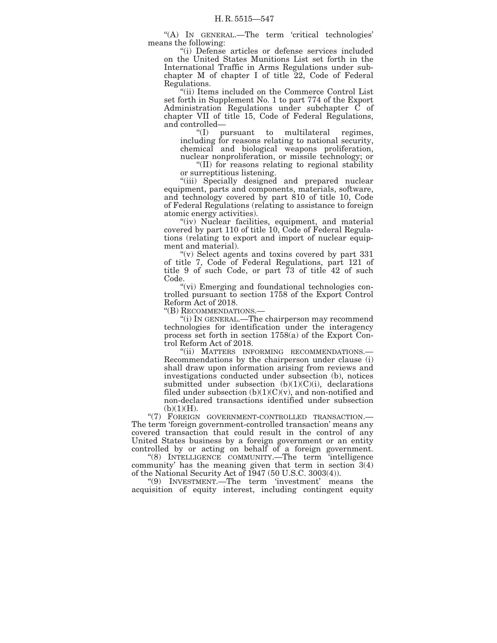"(A) IN GENERAL.—The term 'critical technologies' means the following:

''(i) Defense articles or defense services included on the United States Munitions List set forth in the International Traffic in Arms Regulations under subchapter M of chapter I of title 22, Code of Federal Regulations.

''(ii) Items included on the Commerce Control List set forth in Supplement No. 1 to part 774 of the Export Administration Regulations under subchapter C of chapter VII of title 15, Code of Federal Regulations, and controlled—

''(I) pursuant to multilateral regimes, including for reasons relating to national security, chemical and biological weapons proliferation, nuclear nonproliferation, or missile technology; or ''(II) for reasons relating to regional stability

or surreptitious listening.

''(iii) Specially designed and prepared nuclear equipment, parts and components, materials, software, and technology covered by part 810 of title 10, Code of Federal Regulations (relating to assistance to foreign atomic energy activities).

"(iv) Nuclear facilities, equipment, and material covered by part 110 of title 10, Code of Federal Regulations (relating to export and import of nuclear equip-<br>ment and material).

" $(v)$  Select agents and toxins covered by part 331 of title 7, Code of Federal Regulations, part 121 of title 9 of such Code, or part 73 of title 42 of such Code.

''(vi) Emerging and foundational technologies con- trolled pursuant to section 1758 of the Export Control Reform Act of 2018.

''(B) RECOMMENDATIONS.—

''(i) IN GENERAL.—The chairperson may recommend technologies for identification under the interagency process set forth in section 1758(a) of the Export Control Reform Act of 2018.

"(ii) MATTERS INFORMING RECOMMENDATIONS.-Recommendations by the chairperson under clause (i) shall draw upon information arising from reviews and investigations conducted under subsection (b), notices submitted under subsection  $(b)(1)(C)(i)$ , declarations filed under subsection  $(b)(1)(C)(v)$ , and non-notified and non-declared transactions identified under subsection  $(b)(1)(H)$ .

''(7) FOREIGN GOVERNMENT-CONTROLLED TRANSACTION.— The term 'foreign government-controlled transaction' means any covered transaction that could result in the control of any United States business by a foreign government or an entity controlled by or acting on behalf of a foreign government.

"(8) INTELLIGENCE COMMUNITY.—The term intelligence community' has the meaning given that term in section 3(4) of the National Security Act of 1947 (50 U.S.C. 3003(4)).

''(9) INVESTMENT.—The term 'investment' means the acquisition of equity interest, including contingent equity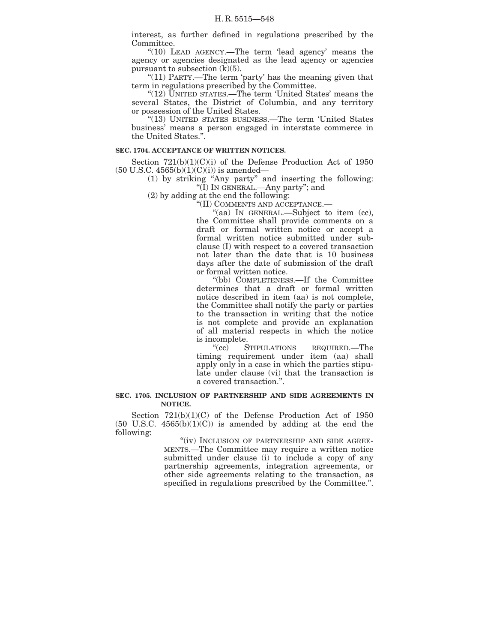interest, as further defined in regulations prescribed by the Committee.

" $(10)$  LEAD AGENCY.—The term 'lead agency' means the agency or agencies designated as the lead agency or agencies pursuant to subsection  $(k)(5)$ .

" $(11)$  PARTY.—The term 'party' has the meaning given that term in regulations prescribed by the Committee.

"(12) UNITED STATES.—The term 'United States' means the several States, the District of Columbia, and any territory or possession of the United States.

''(13) UNITED STATES BUSINESS.—The term 'United States business' means a person engaged in interstate commerce in the United States.''.

## **SEC. 1704. ACCEPTANCE OF WRITTEN NOTICES.**

Section  $721(b)(1)(C)(i)$  of the Defense Production Act of 1950  $(50 \text{ U.S.C. } 4565(b)(1)(C)(i))$  is amended—

> (1) by striking ''Any party'' and inserting the following: ''(I) IN GENERAL.—Any party''; and

(2) by adding at the end the following:

''(II) COMMENTS AND ACCEPTANCE.—

"(aa) In GENERAL.—Subject to item (cc), the Committee shall provide comments on a draft or formal written notice or accept a formal written notice submitted under subclause (I) with respect to a covered transaction not later than the date that is 10 business days after the date of submission of the draft or formal written notice.

''(bb) COMPLETENESS.—If the Committee determines that a draft or formal written notice described in item (aa) is not complete, the Committee shall notify the party or parties to the transaction in writing that the notice is not complete and provide an explanation of all material respects in which the notice is incomplete.<br>
"(cc) STIPULATIONS

REQUIRED.—The timing requirement under item (aa) shall apply only in a case in which the parties stipulate under clause (vi) that the transaction is a covered transaction.''.

# **SEC. 1705. INCLUSION OF PARTNERSHIP AND SIDE AGREEMENTS IN NOTICE.**

Section 721(b)(1)(C) of the Defense Production Act of 1950  $(50 \text{ U.S.C. } 4565(b)(1)(C))$  is amended by adding at the end the following:

> "(iv) INCLUSION OF PARTNERSHIP AND SIDE AGREE-MENTS.—The Committee may require a written notice submitted under clause (i) to include a copy of any partnership agreements, integration agreements, or other side agreements relating to the transaction, as specified in regulations prescribed by the Committee.''.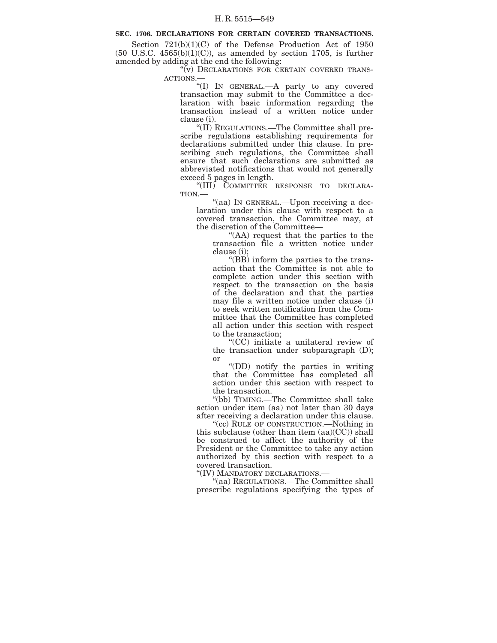## **SEC. 1706. DECLARATIONS FOR CERTAIN COVERED TRANSACTIONS.**

Section 721(b)(1)(C) of the Defense Production Act of 1950  $(50 \text{ U.S.C. } 4565(b)(1)(C))$ , as amended by section 1705, is further amended by adding at the end the following:

> "(v) DECLARATIONS FOR CERTAIN COVERED TRANS-ACTIONS.—

''(I) IN GENERAL.—A party to any covered transaction may submit to the Committee a declaration with basic information regarding the transaction instead of a written notice under clause (i).

''(II) REGULATIONS.—The Committee shall prescribe regulations establishing requirements for declarations submitted under this clause. In prescribing such regulations, the Committee shall ensure that such declarations are submitted as abbreviated notifications that would not generally exceed 5 pages in length.

''(III) COMMITTEE RESPONSE TO DECLARA-TION.—

''(aa) IN GENERAL.—Upon receiving a declaration under this clause with respect to a covered transaction, the Committee may, at the discretion of the Committee—

''(AA) request that the parties to the transaction file a written notice under clause (i);

''(BB) inform the parties to the transaction that the Committee is not able to complete action under this section with respect to the transaction on the basis of the declaration and that the parties may file a written notice under clause (i) to seek written notification from the Committee that the Committee has completed all action under this section with respect to the transaction;

''(CC) initiate a unilateral review of the transaction under subparagraph (D); or

''(DD) notify the parties in writing that the Committee has completed all action under this section with respect to the transaction.

''(bb) TIMING.—The Committee shall take action under item (aa) not later than 30 days after receiving a declaration under this clause.

''(cc) RULE OF CONSTRUCTION.—Nothing in this subclause (other than item (aa)(CC)) shall be construed to affect the authority of the President or the Committee to take any action authorized by this section with respect to a covered transaction.

''(IV) MANDATORY DECLARATIONS.—

''(aa) REGULATIONS.—The Committee shall prescribe regulations specifying the types of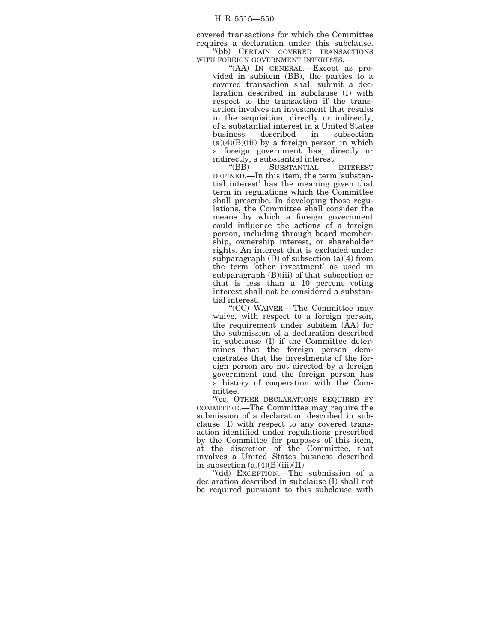covered transactions for which the Committee requires a declaration under this subclause. ''(bb) CERTAIN COVERED TRANSACTIONS

WITH FOREIGN GOVERNMENT INTERESTS.—

''(AA) IN GENERAL.—Except as provided in subitem (BB), the parties to a covered transaction shall submit a declaration described in subclause (I) with respect to the transaction if the transaction involves an investment that results in the acquisition, directly or indirectly, of a substantial interest in a United States business described in subsection  $(a)(4)(B)(iii)$  by a foreign person in which a foreign government has, directly or indirectly, a substantial interest.

''(BB) SUBSTANTIAL INTEREST DEFINED.—In this item, the term 'substantial interest' has the meaning given that term in regulations which the Committee shall prescribe. In developing those regulations, the Committee shall consider the means by which a foreign government could influence the actions of a foreign person, including through board membership, ownership interest, or shareholder rights. An interest that is excluded under subparagraph  $(D)$  of subsection  $(a)(4)$  from the term 'other investment' as used in subparagraph (B)(iii) of that subsection or that is less than a 10 percent voting interest shall not be considered a substantial interest.

''(CC) WAIVER.—The Committee may waive, with respect to a foreign person, the requirement under subitem (AA) for the submission of a declaration described in subclause (I) if the Committee determines that the foreign person demonstrates that the investments of the foreign person are not directed by a foreign government and the foreign person has a history of cooperation with the Committee.

''(cc) OTHER DECLARATIONS REQUIRED BY COMMITTEE.—The Committee may require the submission of a declaration described in subclause (I) with respect to any covered transaction identified under regulations prescribed by the Committee for purposes of this item, at the discretion of the Committee, that involves a United States business described in subsection  $(a)(4)(B)(iii)(II)$ .

''(dd) EXCEPTION.—The submission of a declaration described in subclause (I) shall not be required pursuant to this subclause with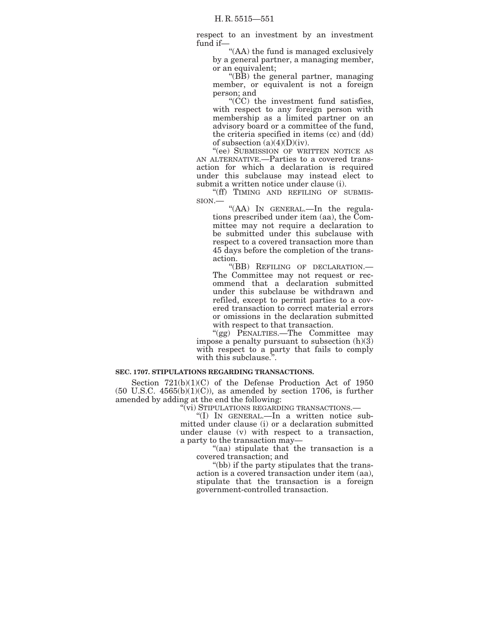respect to an investment by an investment fund if—

''(AA) the fund is managed exclusively by a general partner, a managing member, or an equivalent;

''(BB) the general partner, managing member, or equivalent is not a foreign person; and

''(CC) the investment fund satisfies, with respect to any foreign person with membership as a limited partner on an advisory board or a committee of the fund, the criteria specified in items (cc) and (dd) of subsection  $(a)(4)(D)(iv)$ .

"(ee) SUBMISSION OF WRITTEN NOTICE AS AN ALTERNATIVE.—Parties to a covered transaction for which a declaration is required under this subclause may instead elect to submit a written notice under clause (i).

"(ff) TIMING AND REFILING OF SUBMIS-SION.—

''(AA) IN GENERAL.—In the regulations prescribed under item (aa), the Committee may not require a declaration to be submitted under this subclause with respect to a covered transaction more than 45 days before the completion of the transaction.

''(BB) REFILING OF DECLARATION.— The Committee may not request or recommend that a declaration submitted under this subclause be withdrawn and refiled, except to permit parties to a covered transaction to correct material errors or omissions in the declaration submitted with respect to that transaction.

''(gg) PENALTIES.—The Committee may impose a penalty pursuant to subsection (h)(3) with respect to a party that fails to comply with this subclause."

#### **SEC. 1707. STIPULATIONS REGARDING TRANSACTIONS.**

Section 721(b)(1)(C) of the Defense Production Act of 1950  $(50 \text{ U.S.C. } 4565(b)(1)(C))$ , as amended by section 1706, is further amended by adding at the end the following:

''(vi) STIPULATIONS REGARDING TRANSACTIONS.—

''(I) IN GENERAL.—In a written notice submitted under clause (i) or a declaration submitted under clause (v) with respect to a transaction, a party to the transaction may—

''(aa) stipulate that the transaction is a covered transaction; and

''(bb) if the party stipulates that the transaction is a covered transaction under item (aa), stipulate that the transaction is a foreign government-controlled transaction.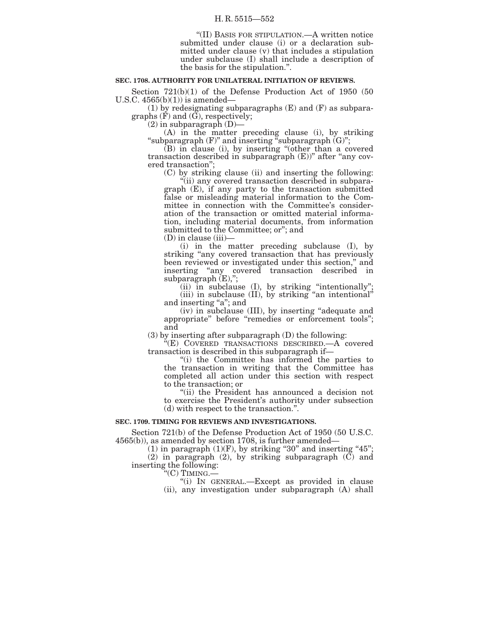''(II) BASIS FOR STIPULATION.—A written notice submitted under clause (i) or a declaration submitted under clause (v) that includes a stipulation under subclause (I) shall include a description of the basis for the stipulation.''.

# **SEC. 1708. AUTHORITY FOR UNILATERAL INITIATION OF REVIEWS.**

Section 721(b)(1) of the Defense Production Act of 1950 (50 U.S.C.  $4565(b)(1)$  is amended—

(1) by redesignating subparagraphs  $(E)$  and  $(F)$  as subparagraphs  $(F)$  and  $(\tilde{G})$ , respectively;

 $(2)$  in subparagraph  $(D)$ –

(A) in the matter preceding clause (i), by striking "subparagraph  $(F)$ " and inserting "subparagraph  $(G)$ ";

(B) in clause (i), by inserting ''(other than a covered transaction described in subparagraph  $(E)$ " after "any covered transaction'';

(C) by striking clause (ii) and inserting the following:

''(ii) any covered transaction described in subparagraph (E), if any party to the transaction submitted false or misleading material information to the Committee in connection with the Committee's consideration of the transaction or omitted material information, including material documents, from information submitted to the Committee; or''; and

(D) in clause (iii)—

(i) in the matter preceding subclause (I), by striking ''any covered transaction that has previously been reviewed or investigated under this section,'' and inserting ''any covered transaction described in subparagraph (E),";

(ii) in subclause (I), by striking ''intentionally''; (iii) in subclause (II), by striking "an intentional" and inserting "a"; and

(iv) in subclause (III), by inserting ''adequate and appropriate'' before ''remedies or enforcement tools''; and

(3) by inserting after subparagraph (D) the following:

''(E) COVERED TRANSACTIONS DESCRIBED.—A covered transaction is described in this subparagraph if—

''(i) the Committee has informed the parties to the transaction in writing that the Committee has completed all action under this section with respect to the transaction; or

''(ii) the President has announced a decision not to exercise the President's authority under subsection (d) with respect to the transaction.''.

## **SEC. 1709. TIMING FOR REVIEWS AND INVESTIGATIONS.**

Section 721(b) of the Defense Production Act of 1950 (50 U.S.C. 4565(b)), as amended by section 1708, is further amended—

 $(1)$  in paragraph  $(1)(F)$ , by striking "30" and inserting "45"; (2) in paragraph (2), by striking subparagraph (C) and inserting the following:<br>"(C) TIMING.

"(i) IN GENERAL.—Except as provided in clause (ii), any investigation under subparagraph (A) shall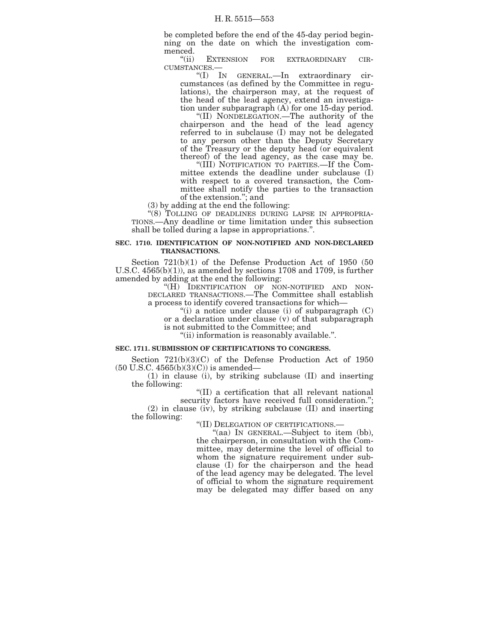be completed before the end of the 45-day period beginning on the date on which the investigation commenced.<br>"(ii)

EXTENSION FOR EXTRAORDINARY CIR-CUMSTANCES.—<br>"(I) In

GENERAL.—In extraordinary circumstances (as defined by the Committee in regulations), the chairperson may, at the request of the head of the lead agency, extend an investigation under subparagraph (A) for one 15-day period.

''(II) NONDELEGATION.—The authority of the chairperson and the head of the lead agency referred to in subclause (I) may not be delegated to any person other than the Deputy Secretary of the Treasury or the deputy head (or equivalent thereof) of the lead agency, as the case may be.<br>"(III) NOTIFICATION TO PARTIES.—If the Com-

mittee extends the deadline under subclause  $(I)$ with respect to a covered transaction, the Com-<br>mittee shall notify the parties to the transaction of the extension.''; and

(3) by adding at the end the following:

"(8) TOLLING OF DEADLINES DURING LAPSE IN APPROPRIA-TIONS.—Any deadline or time limitation under this subsection shall be tolled during a lapse in appropriations.''.

# **SEC. 1710. IDENTIFICATION OF NON-NOTIFIED AND NON-DECLARED TRANSACTIONS.**

Section 721(b)(1) of the Defense Production Act of 1950 (50 U.S.C. 4565(b)(1)), as amended by sections 1708 and 1709, is further amended by adding at the end the following:

"(H) IDENTIFICATION OF NON-NOTIFIED AND NON-DECLARED TRANSACTIONS.—The Committee shall establish a process to identify covered transactions for which—

"(i) a notice under clause (i) of subparagraph  $(C)$ or a declaration under clause (v) of that subparagraph is not submitted to the Committee; and

''(ii) information is reasonably available.''.

#### **SEC. 1711. SUBMISSION OF CERTIFICATIONS TO CONGRESS.**

Section  $721(b)(3)(C)$  of the Defense Production Act of 1950  $(50 \text{ U.S.C. } 4565(b)(3)(C))$  is amended—

(1) in clause (i), by striking subclause (II) and inserting the following:

''(II) a certification that all relevant national

security factors have received full consideration."; (2) in clause (iv), by striking subclause (II) and inserting the following:

''(II) DELEGATION OF CERTIFICATIONS.— ''(aa) IN GENERAL.—Subject to item (bb), the chairperson, in consultation with the Committee, may determine the level of official to whom the signature requirement under subclause (I) for the chairperson and the head of the lead agency may be delegated. The level of official to whom the signature requirement may be delegated may differ based on any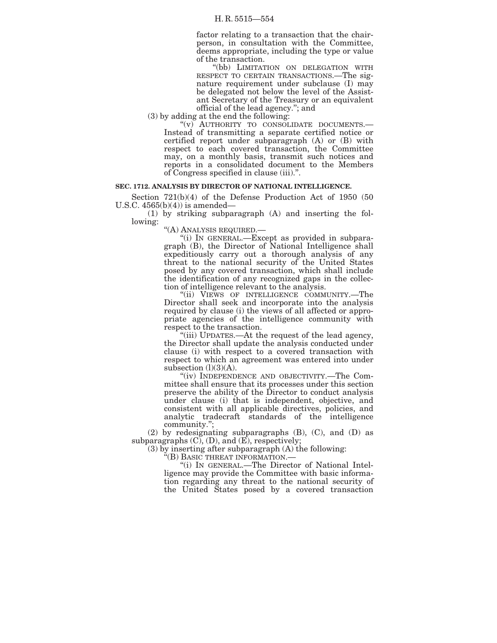factor relating to a transaction that the chairperson, in consultation with the Committee, deems appropriate, including the type or value of the transaction.

"(bb) LIMITATION ON DELEGATION WITH RESPECT TO CERTAIN TRANSACTIONS.—The signature requirement under subclause (I) may be delegated not below the level of the Assistant Secretary of the Treasury or an equivalent official of the lead agency.''; and

(3) by adding at the end the following:

"(v) AUTHORITY TO CONSOLIDATE DOCUMENTS.-Instead of transmitting a separate certified notice or certified report under subparagraph (A) or (B) with respect to each covered transaction, the Committee may, on a monthly basis, transmit such notices and reports in a consolidated document to the Members of Congress specified in clause (iii).''.

## **SEC. 1712. ANALYSIS BY DIRECTOR OF NATIONAL INTELLIGENCE.**

Section 721(b)(4) of the Defense Production Act of 1950 (50 U.S.C.  $4565(b)(4)$  is amended—

(1) by striking subparagraph (A) and inserting the following:

''(A) ANALYSIS REQUIRED.—

''(i) IN GENERAL.—Except as provided in subparagraph (B), the Director of National Intelligence shall expeditiously carry out a thorough analysis of any threat to the national security of the United States posed by any covered transaction, which shall include the identification of any recognized gaps in the collection of intelligence relevant to the analysis.

"(ii) VIEWS OF INTELLIGENCE COMMUNITY.—The Director shall seek and incorporate into the analysis required by clause (i) the views of all affected or appropriate agencies of the intelligence community with respect to the transaction.

"(iii) UPDATES.—At the request of the lead agency, the Director shall update the analysis conducted under clause (i) with respect to a covered transaction with respect to which an agreement was entered into under subsection  $(l)(3)(A)$ .

"(iv) INDEPENDENCE AND OBJECTIVITY.—The Committee shall ensure that its processes under this section preserve the ability of the Director to conduct analysis under clause (i) that is independent, objective, and consistent with all applicable directives, policies, and analytic tradecraft standards of the intelligence community.'';

(2) by redesignating subparagraphs (B), (C), and (D) as subparagraphs  $(C)$ ,  $(D)$ , and  $(E)$ , respectively;

(3) by inserting after subparagraph (A) the following:

''(B) BASIC THREAT INFORMATION.— ''(i) IN GENERAL.—The Director of National Intel- ligence may provide the Committee with basic informa- tion regarding any threat to the national security of the United States posed by a covered transaction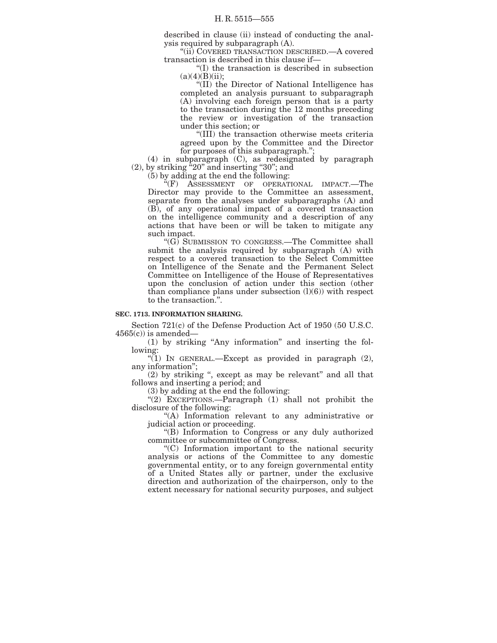described in clause (ii) instead of conducting the analysis required by subparagraph (A).

''(ii) COVERED TRANSACTION DESCRIBED.—A covered transaction is described in this clause if—

''(I) the transaction is described in subsection  $(a)(4)(B)(ii);$ 

''(II) the Director of National Intelligence has completed an analysis pursuant to subparagraph (A) involving each foreign person that is a party to the transaction during the 12 months preceding the review or investigation of the transaction under this section; or

''(III) the transaction otherwise meets criteria agreed upon by the Committee and the Director for purposes of this subparagraph.'';

(4) in subparagraph (C), as redesignated by paragraph  $(2)$ , by striking "20" and inserting "30"; and

(5) by adding at the end the following:

"(F) ASSESSMENT OF OPERATIONAL IMPACT.—The Director may provide to the Committee an assessment, separate from the analyses under subparagraphs (A) and (B), of any operational impact of a covered transaction on the intelligence community and a description of any actions that have been or will be taken to mitigate any such impact.

" $(G)$  SUBMISSION TO CONGRESS.—The Committee shall submit the analysis required by subparagraph (A) with respect to a covered transaction to the Select Committee on Intelligence of the Senate and the Permanent Select Committee on Intelligence of the House of Representatives upon the conclusion of action under this section (other than compliance plans under subsection  $(l)(6)$  with respect to the transaction.''.

### **SEC. 1713. INFORMATION SHARING.**

Section 721(c) of the Defense Production Act of 1950 (50 U.S.C.  $4565(c)$  is amended-

(1) by striking ''Any information'' and inserting the following:

" $(1)$  In GENERAL.—Except as provided in paragraph  $(2)$ , any information'';

(2) by striking '', except as may be relevant'' and all that follows and inserting a period; and

(3) by adding at the end the following:

"(2) EXCEPTIONS.—Paragraph (1) shall not prohibit the disclosure of the following:

''(A) Information relevant to any administrative or judicial action or proceeding.

''(B) Information to Congress or any duly authorized committee or subcommittee of Congress.

''(C) Information important to the national security analysis or actions of the Committee to any domestic governmental entity, or to any foreign governmental entity of a United States ally or partner, under the exclusive direction and authorization of the chairperson, only to the extent necessary for national security purposes, and subject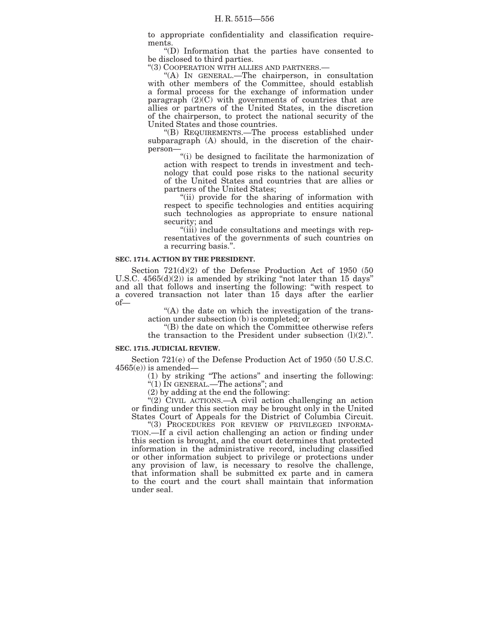to appropriate confidentiality and classification requirements.

''(D) Information that the parties have consented to be disclosed to third parties.

''(3) COOPERATION WITH ALLIES AND PARTNERS.—

''(A) IN GENERAL.—The chairperson, in consultation with other members of the Committee, should establish a formal process for the exchange of information under paragraph  $(2)(C)$  with governments of countries that are allies or partners of the United States, in the discretion of the chairperson, to protect the national security of the United States and those countries.

''(B) REQUIREMENTS.—The process established under subparagraph (A) should, in the discretion of the chairperson—

''(i) be designed to facilitate the harmonization of action with respect to trends in investment and technology that could pose risks to the national security of the United States and countries that are allies or partners of the United States;

''(ii) provide for the sharing of information with respect to specific technologies and entities acquiring such technologies as appropriate to ensure national security; and

"(iii) include consultations and meetings with representatives of the governments of such countries on a recurring basis.''.

# **SEC. 1714. ACTION BY THE PRESIDENT.**

Section 721(d)(2) of the Defense Production Act of 1950 (50 U.S.C.  $4565(d)(2)$  is amended by striking "not later than 15 days" and all that follows and inserting the following: ''with respect to a covered transaction not later than 15 days after the earlier of—

> ''(A) the date on which the investigation of the transaction under subsection (b) is completed; or

> ''(B) the date on which the Committee otherwise refers the transaction to the President under subsection  $(l)(2)$ .".

## **SEC. 1715. JUDICIAL REVIEW.**

Section 721(e) of the Defense Production Act of 1950 (50 U.S.C. 4565(e)) is amended—

(1) by striking ''The actions'' and inserting the following:

''(1) IN GENERAL.—The actions''; and (2) by adding at the end the following:

''(2) CIVIL ACTIONS.—A civil action challenging an action or finding under this section may be brought only in the United States Court of Appeals for the District of Columbia Circuit.<br>
"(3) PROCEDURES FOR REVIEW OF PRIVILEGED INFORMA-

TION.—If a civil action challenging an action or finding under this section is brought, and the court determines that protected information in the administrative record, including classified or other information subject to privilege or protections under any provision of law, is necessary to resolve the challenge, that information shall be submitted ex parte and in camera to the court and the court shall maintain that information under seal.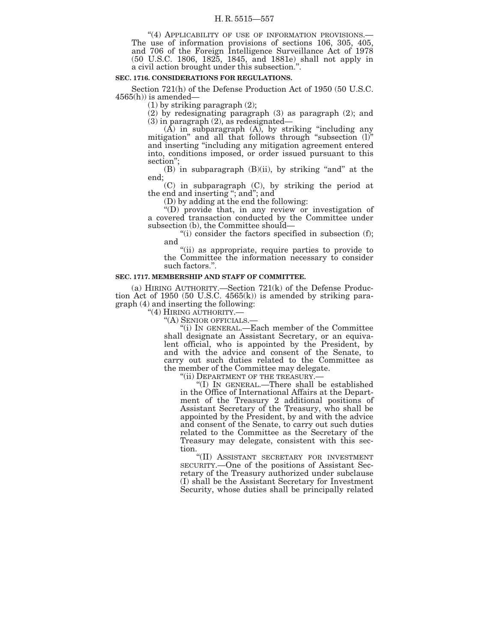''(4) APPLICABILITY OF USE OF INFORMATION PROVISIONS.— The use of information provisions of sections 106, 305, 405, and 706 of the Foreign Intelligence Surveillance Act of 1978 (50 U.S.C. 1806, 1825, 1845, and 1881e) shall not apply in a civil action brought under this subsection.''.

#### **SEC. 1716. CONSIDERATIONS FOR REGULATIONS.**

Section 721(h) of the Defense Production Act of 1950 (50 U.S.C.  $4565(h)$ ) is amended-

(1) by striking paragraph (2);

(2) by redesignating paragraph (3) as paragraph (2); and (3) in paragraph (2), as redesignated—

 $(A)$  in subparagraph  $(A)$ , by striking "including any mitigation'' and all that follows through ''subsection (l)'' and inserting ''including any mitigation agreement entered into, conditions imposed, or order issued pursuant to this section'';

 $(B)$  in subparagraph  $(B)(ii)$ , by striking "and" at the end;

(C) in subparagraph (C), by striking the period at the end and inserting "; and"; and

(D) by adding at the end the following:

''(D) provide that, in any review or investigation of a covered transaction conducted by the Committee under subsection (b), the Committee should—

 $''(i)$  consider the factors specified in subsection  $(f)$ ; and

"(ii) as appropriate, require parties to provide to the Committee the information necessary to consider such factors.''.

# **SEC. 1717. MEMBERSHIP AND STAFF OF COMMITTEE.**

(a) HIRING AUTHORITY.—Section 721(k) of the Defense Production Act of 1950 (50 U.S.C. 4565(k)) is amended by striking paragraph (4) and inserting the following: "(4) HIRING AUTHORITY.—

"(A) SENIOR OFFICIALS.—<br>"(i) IN GENERAL.—Each member of the Committee<br>shall designate an Assistant Secretary, or an equivalent official, who is appointed by the President, by and with the advice and consent of the Senate, to carry out such duties related to the Committee as the member of the Committee may delegate.

"(ii) DEPARTMENT OF THE TREASURY.—<br>"(I) IN GENERAL.—There shall be established<br>in the Office of International Affairs at the Department of the Treasury 2 additional positions of Assistant Secretary of the Treasury, who shall be appointed by the President, by and with the advice and consent of the Senate, to carry out such duties related to the Committee as the Secretary of the Treasury may delegate, consistent with this section.

"(II) ASSISTANT SECRETARY FOR INVESTMENT<br>SECURITY.—One of the positions of Assistant Secretary of the Treasury authorized under subclause (I) shall be the Assistant Secretary for Investment Security, whose duties shall be principally related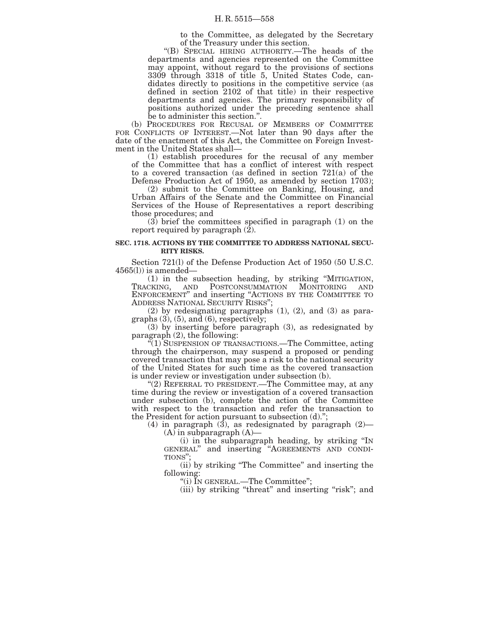to the Committee, as delegated by the Secretary of the Treasury under this section.

''(B) SPECIAL HIRING AUTHORITY.—The heads of the departments and agencies represented on the Committee may appoint, without regard to the provisions of sections 3309 through 3318 of title 5, United States Code, candidates directly to positions in the competitive service (as defined in section 2102 of that title) in their respective departments and agencies. The primary responsibility of positions authorized under the preceding sentence shall be to administer this section.''.

(b) PROCEDURES FOR RECUSAL OF MEMBERS OF COMMITTEE FOR CONFLICTS OF INTEREST.—Not later than 90 days after the date of the enactment of this Act, the Committee on Foreign Investment in the United States shall—

(1) establish procedures for the recusal of any member of the Committee that has a conflict of interest with respect to a covered transaction (as defined in section 721(a) of the Defense Production Act of 1950, as amended by section 1703);

(2) submit to the Committee on Banking, Housing, and Urban Affairs of the Senate and the Committee on Financial Services of the House of Representatives a report describing those procedures; and

(3) brief the committees specified in paragraph (1) on the report required by paragraph  $(2)$ .

# **SEC. 1718. ACTIONS BY THE COMMITTEE TO ADDRESS NATIONAL SECU-RITY RISKS.**

Section 721(l) of the Defense Production Act of 1950 (50 U.S.C. 4565(l)) is amended—

(1) in the subsection heading, by striking ''MITIGATION, TRACKING, AND POSTCONSUMMATION MONITORING AND ENFORCEMENT'' and inserting ''ACTIONS BY THE COMMITTEE TO ADDRESS NATIONAL SECURITY RISKS'';

(2) by redesignating paragraphs (1), (2), and (3) as paragraphs  $(3)$ ,  $(5)$ , and  $(6)$ , respectively;

(3) by inserting before paragraph (3), as redesignated by paragraph (2), the following:

 $\sqrt[n]{(1)}$  SUSPENSION OF TRANSACTIONS.—The Committee, acting through the chairperson, may suspend a proposed or pending covered transaction that may pose a risk to the national security of the United States for such time as the covered transaction is under review or investigation under subsection (b).

"(2) REFERRAL TO PRESIDENT. The Committee may, at any time during the review or investigation of a covered transaction under subsection (b), complete the action of the Committee with respect to the transaction and refer the transaction to the President for action pursuant to subsection (d).'';

(4) in paragraph  $(3)$ , as redesignated by paragraph  $(2)$ —  $(A)$  in subparagraph  $(A)$ —

(i) in the subparagraph heading, by striking ''IN GENERAL'' and inserting ''AGREEMENTS AND CONDI-TIONS'';

(ii) by striking ''The Committee'' and inserting the following:

''(i) IN GENERAL.—The Committee'';

(iii) by striking "threat" and inserting "risk"; and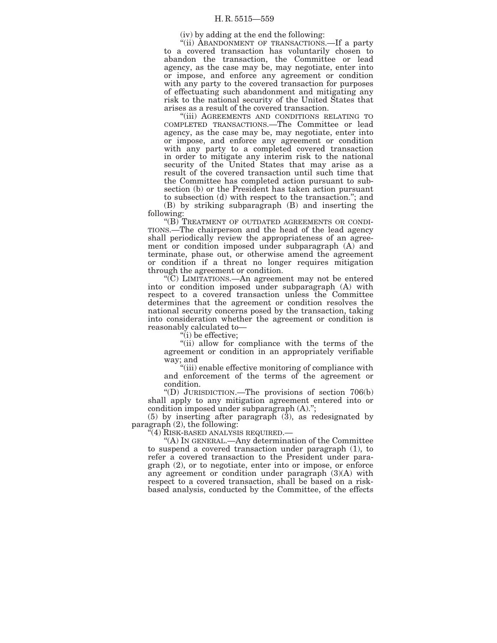(iv) by adding at the end the following:

''(ii) ABANDONMENT OF TRANSACTIONS.—If a party to a covered transaction has voluntarily chosen to abandon the transaction, the Committee or lead agency, as the case may be, may negotiate, enter into or impose, and enforce any agreement or condition with any party to the covered transaction for purposes of effectuating such abandonment and mitigating any risk to the national security of the United States that arises as a result of the covered transaction.

''(iii) AGREEMENTS AND CONDITIONS RELATING TO COMPLETED TRANSACTIONS.—The Committee or lead agency, as the case may be, may negotiate, enter into or impose, and enforce any agreement or condition with any party to a completed covered transaction in order to mitigate any interim risk to the national security of the United States that may arise as a result of the covered transaction until such time that the Committee has completed action pursuant to subsection (b) or the President has taken action pursuant to subsection (d) with respect to the transaction.''; and

(B) by striking subparagraph (B) and inserting the following:

"(B) TREATMENT OF OUTDATED AGREEMENTS OR CONDI-TIONS.—The chairperson and the head of the lead agency shall periodically review the appropriateness of an agreement or condition imposed under subparagraph (A) and terminate, phase out, or otherwise amend the agreement or condition if a threat no longer requires mitigation through the agreement or condition.

''(C) LIMITATIONS.—An agreement may not be entered into or condition imposed under subparagraph (A) with respect to a covered transaction unless the Committee determines that the agreement or condition resolves the national security concerns posed by the transaction, taking into consideration whether the agreement or condition is reasonably calculated to—

''(i) be effective;

"(ii) allow for compliance with the terms of the agreement or condition in an appropriately verifiable way; and

''(iii) enable effective monitoring of compliance with and enforcement of the terms of the agreement or condition.

''(D) JURISDICTION.—The provisions of section 706(b) shall apply to any mitigation agreement entered into or condition imposed under subparagraph (A).'';

(5) by inserting after paragraph (3), as redesignated by paragraph (2), the following:

''(4) RISK-BASED ANALYSIS REQUIRED.—

''(A) IN GENERAL.—Any determination of the Committee to suspend a covered transaction under paragraph (1), to refer a covered transaction to the President under paragraph (2), or to negotiate, enter into or impose, or enforce any agreement or condition under paragraph (3)(A) with respect to a covered transaction, shall be based on a riskbased analysis, conducted by the Committee, of the effects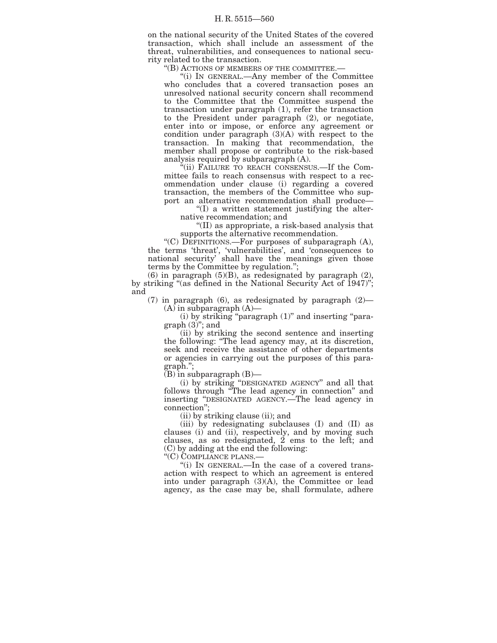on the national security of the United States of the covered transaction, which shall include an assessment of the threat, vulnerabilities, and consequences to national security related to the transaction.

''(B) ACTIONS OF MEMBERS OF THE COMMITTEE.—

''(i) IN GENERAL.—Any member of the Committee who concludes that a covered transaction poses an unresolved national security concern shall recommend to the Committee that the Committee suspend the transaction under paragraph (1), refer the transaction to the President under paragraph (2), or negotiate, enter into or impose, or enforce any agreement or condition under paragraph (3)(A) with respect to the transaction. In making that recommendation, the member shall propose or contribute to the risk-based analysis required by subparagraph (A).

''(ii) FAILURE TO REACH CONSENSUS.—If the Committee fails to reach consensus with respect to a recommendation under clause (i) regarding a covered transaction, the members of the Committee who support an alternative recommendation shall produce—

''(I) a written statement justifying the alternative recommendation; and

''(II) as appropriate, a risk-based analysis that supports the alternative recommendation.

"(C)  $\overline{DEFINITIONS}$ . For purposes of subparagraph  $(A)$ , the terms 'threat', 'vulnerabilities', and 'consequences to national security' shall have the meanings given those terms by the Committee by regulation.'';

 $(6)$  in paragraph  $(5)(B)$ , as redesignated by paragraph  $(2)$ , by striking ''(as defined in the National Security Act of 1947)''; and

(7) in paragraph (6), as redesignated by paragraph  $(2)$ — (A) in subparagraph (A)—

 $(i)$  by striking "paragraph  $(1)$ " and inserting "para $graph (3)$ "; and

(ii) by striking the second sentence and inserting the following: ''The lead agency may, at its discretion, seek and receive the assistance of other departments or agencies in carrying out the purposes of this paragraph.'';

(B) in subparagraph (B)—

(i) by striking ''DESIGNATED AGENCY'' and all that follows through ''The lead agency in connection'' and inserting ''DESIGNATED AGENCY.—The lead agency in connection'';

(ii) by striking clause (ii); and

(iii) by redesignating subclauses (I) and (II) as clauses (i) and (ii), respectively, and by moving such clauses, as so redesignated,  $2$  ems to the left; and (C) by adding at the end the following:

''(C) COMPLIANCE PLANS.—

"(i) IN GENERAL.—In the case of a covered transaction with respect to which an agreement is entered into under paragraph (3)(A), the Committee or lead agency, as the case may be, shall formulate, adhere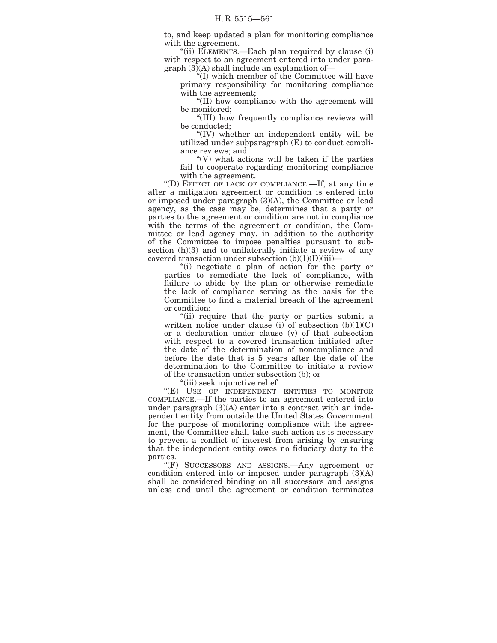to, and keep updated a plan for monitoring compliance with the agreement.

''(ii) ELEMENTS.—Each plan required by clause (i) with respect to an agreement entered into under paragraph (3)(A) shall include an explanation of—

''(I) which member of the Committee will have primary responsibility for monitoring compliance with the agreement;

''(II) how compliance with the agreement will be monitored;

''(III) how frequently compliance reviews will be conducted;

''(IV) whether an independent entity will be utilized under subparagraph (E) to conduct compliance reviews; and

"(V) what actions will be taken if the parties" fail to cooperate regarding monitoring compliance with the agreement.

''(D) EFFECT OF LACK OF COMPLIANCE.—If, at any time after a mitigation agreement or condition is entered into or imposed under paragraph (3)(A), the Committee or lead agency, as the case may be, determines that a party or parties to the agreement or condition are not in compliance with the terms of the agreement or condition, the Committee or lead agency may, in addition to the authority of the Committee to impose penalties pursuant to subsection (h)(3) and to unilaterally initiate a review of any covered transaction under subsection  $(b)(1)(D)(iii)$ —

''(i) negotiate a plan of action for the party or parties to remediate the lack of compliance, with failure to abide by the plan or otherwise remediate the lack of compliance serving as the basis for the Committee to find a material breach of the agreement or condition;

"(ii) require that the party or parties submit a written notice under clause (i) of subsection  $(b)(1)(C)$ or a declaration under clause (v) of that subsection with respect to a covered transaction initiated after the date of the determination of noncompliance and before the date that is 5 years after the date of the determination to the Committee to initiate a review of the transaction under subsection (b); or

''(iii) seek injunctive relief.

"(E) USE OF INDEPENDENT ENTITIES TO MONITOR COMPLIANCE.—If the parties to an agreement entered into under paragraph  $(3)(\overline{A})$  enter into a contract with an independent entity from outside the United States Government for the purpose of monitoring compliance with the agreement, the Committee shall take such action as is necessary to prevent a conflict of interest from arising by ensuring that the independent entity owes no fiduciary duty to the parties.

''(F) SUCCESSORS AND ASSIGNS.—Any agreement or condition entered into or imposed under paragraph (3)(A) shall be considered binding on all successors and assigns unless and until the agreement or condition terminates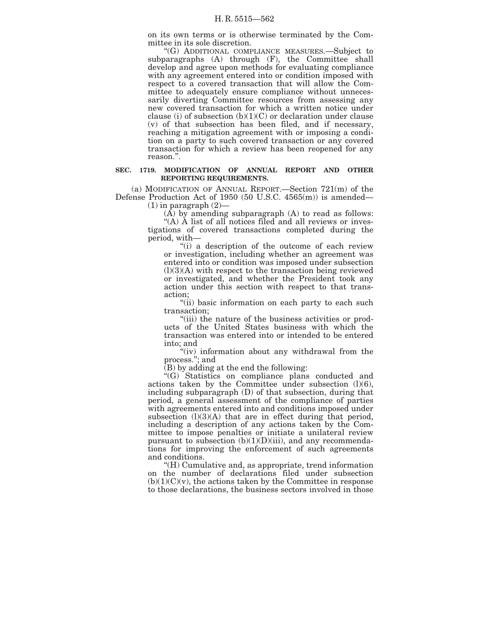on its own terms or is otherwise terminated by the Committee in its sole discretion.

''(G) ADDITIONAL COMPLIANCE MEASURES.—Subject to subparagraphs (A) through (F), the Committee shall develop and agree upon methods for evaluating compliance with any agreement entered into or condition imposed with respect to a covered transaction that will allow the Committee to adequately ensure compliance without unnecessarily diverting Committee resources from assessing any new covered transaction for which a written notice under clause (i) of subsection  $(b)(1)(C)$  or declaration under clause (v) of that subsection has been filed, and if necessary, reaching a mitigation agreement with or imposing a condi- tion on a party to such covered transaction or any covered transaction for which a review has been reopened for any reason.''.

# **SEC. 1719. MODIFICATION OF ANNUAL REPORT AND OTHER REPORTING REQUIREMENTS.**

(a) MODIFICATION OF ANNUAL REPORT.—Section 721(m) of the Defense Production Act of 1950 (50 U.S.C. 4565(m)) is amended—  $(1)$  in paragraph  $(2)$ —

(A) by amending subparagraph (A) to read as follows:

"(A)  $\AA$  list of all notices filed and all reviews or investigations of covered transactions completed during the period, with—

"(i) a description of the outcome of each review" or investigation, including whether an agreement was entered into or condition was imposed under subsection  $(l)(3)(A)$  with respect to the transaction being reviewed or investigated, and whether the President took any action under this section with respect to that transaction;

"(ii) basic information on each party to each such transaction;

"(iii) the nature of the business activities or products of the United States business with which the transaction was entered into or intended to be entered into; and

"(iv) information about any withdrawal from the process."; and

(B) by adding at the end the following:

''(G) Statistics on compliance plans conducted and actions taken by the Committee under subsection (l)(6), including subparagraph (D) of that subsection, during that period, a general assessment of the compliance of parties with agreements entered into and conditions imposed under subsection  $(l)(3)(A)$  that are in effect during that period, including a description of any actions taken by the Com-<br>mittee to impose penalties or initiate a unilateral review<br>pursuant to subsection  $(b)(1)(D)(iii)$ , and any recommendations for improving the enforcement of such agreements and conditions.

''(H) Cumulative and, as appropriate, trend information on the number of declarations filed under subsection  $(b)(1)(C)(v)$ , the actions taken by the Committee in response to those declarations, the business sectors involved in those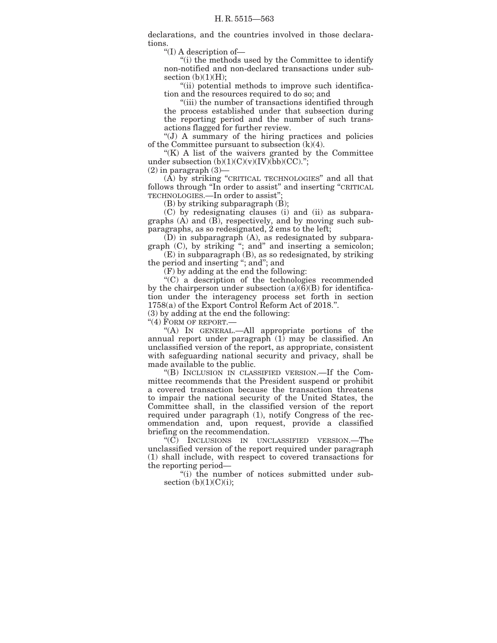declarations, and the countries involved in those declarations.

''(I) A description of—

''(i) the methods used by the Committee to identify non-notified and non-declared transactions under subsection  $(b)(1)(H)$ ;

"(ii) potential methods to improve such identification and the resources required to do so; and

''(iii) the number of transactions identified through the process established under that subsection during the reporting period and the number of such transactions flagged for further review.

''(J) A summary of the hiring practices and policies of the Committee pursuant to subsection  $(k)(4)$ .

"(K) A list of the waivers granted by the Committee under subsection  $(b)(1)(C)(v)(IV)(bb)(CC)$ .";

 $(2)$  in paragraph  $(3)$ -

(A) by striking ''CRITICAL TECHNOLOGIES'' and all that follows through "In order to assist" and inserting "CRITICAL TECHNOLOGIES.—In order to assist'';

(B) by striking subparagraph (B);

(C) by redesignating clauses (i) and (ii) as subparagraphs (A) and (B), respectively, and by moving such subparagraphs, as so redesignated, 2 ems to the left;

(D) in subparagraph (A), as redesignated by subparagraph (C), by striking "; and" and inserting a semicolon; (E) in subparagraph (B), as so redesignated, by striking

the period and inserting ''; and''; and

(F) by adding at the end the following:

''(C) a description of the technologies recommended by the chairperson under subsection  $(a)(6)(B)$  for identification under the interagency process set forth in section 1758(a) of the Export Control Reform Act of 2018.''.

(3) by adding at the end the following:

"(4) FORM OF REPORT.

''(A) IN GENERAL.—All appropriate portions of the annual report under paragraph (1) may be classified. An unclassified version of the report, as appropriate, consistent with safeguarding national security and privacy, shall be made available to the public.

''(B) INCLUSION IN CLASSIFIED VERSION.—If the Committee recommends that the President suspend or prohibit a covered transaction because the transaction threatens to impair the national security of the United States, the Committee shall, in the classified version of the report required under paragraph (1), notify Congress of the recommendation and, upon request, provide a classified briefing on the recommendation.

''(C) INCLUSIONS IN UNCLASSIFIED VERSION.—The unclassified version of the report required under paragraph (1) shall include, with respect to covered transactions for the reporting period—

''(i) the number of notices submitted under subsection  $(b)(1)(C)(i)$ ;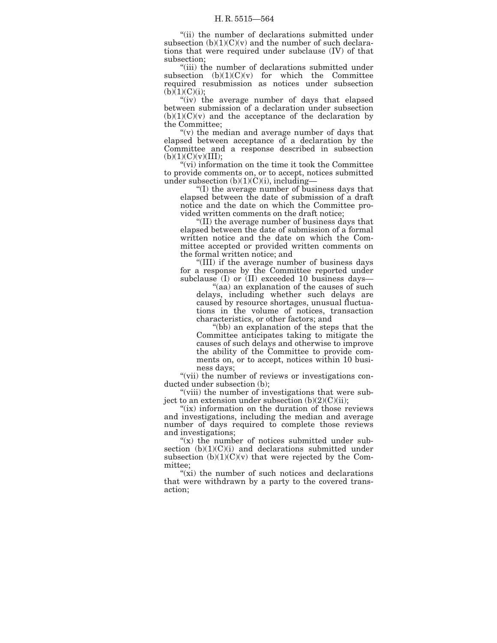''(ii) the number of declarations submitted under subsection  $(b)(1)(C)(v)$  and the number of such declarations that were required under subclause (IV) of that subsection;

"(iii) the number of declarations submitted under subsection  $(b)(1)(C)(v)$  for which the Committee required resubmission as notices under subsection  $(b)(1)(C)(i);$ 

"(iv) the average number of days that elapsed between submission of a declaration under subsection  $(b)(1)(C)(v)$  and the acceptance of the declaration by the Committee;

" $(v)$  the median and average number of days that elapsed between acceptance of a declaration by the Committee and a response described in subsection  $(b)(1)(C)(v)(III);$ 

''(vi) information on the time it took the Committee to provide comments on, or to accept, notices submitted under subsection  $(b)(1)(C)(i)$ , including-

''(I) the average number of business days that elapsed between the date of submission of a draft notice and the date on which the Committee pro- vided written comments on the draft notice;

''(II) the average number of business days that elapsed between the date of submission of a formal mittee accepted or provided written comments on the formal written notice; and

''(III) if the average number of business days for a response by the Committee reported under subclause (I) or (II) exceeded 10 business days—

"(aa) an explanation of the causes of such delays, including whether such delays are caused by resource shortages, unusual fluctua- tions in the volume of notices, transaction characteristics, or other factors; and

''(bb) an explanation of the steps that the Committee anticipates taking to mitigate the causes of such delays and otherwise to improve the ability of the Committee to provide com-<br>ments on, or to accept, notices within 10 busi-<br>ness days;

''(vii) the number of reviews or investigations con- ducted under subsection (b);

"(viii) the number of investigations that were subject to an extension under subsection (b)(2)(C)(ii);

"(ix) information on the duration of those reviews and investigations, including the median and average number of days required to complete those reviews and investigations;<br>" $(x)$  the number of notices submitted under sub-

 $section (b)(1)(C)(i)$  and declarations submitted under subsection  $(b)(1)(C)(v)$  that were rejected by the Com-<br>mittee;

"(xi) the number of such notices and declarations" that were withdrawn by a party to the covered transaction;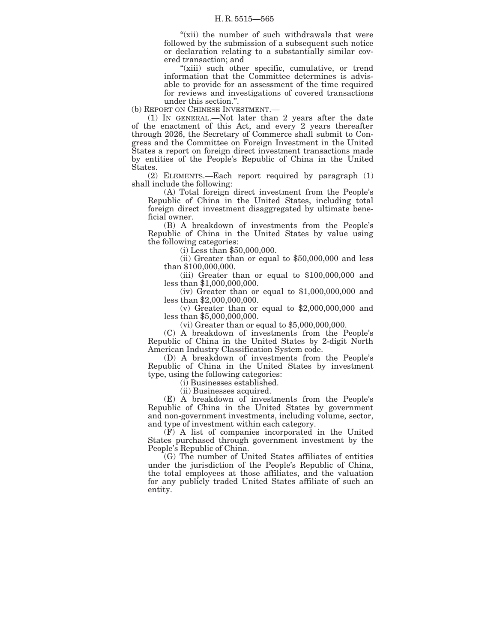"(xii) the number of such withdrawals that were followed by the submission of a subsequent such notice or declaration relating to a substantially similar covered transaction; and

"(xiii) such other specific, cumulative, or trend information that the Committee determines is advisable to provide for an assessment of the time required for reviews and investigations of covered transactions under this section.''.

(b) REPORT ON CHINESE INVESTMENT.—

(1) IN GENERAL.—Not later than 2 years after the date of the enactment of this Act, and every 2 years thereafter through 2026, the Secretary of Commerce shall submit to Congress and the Committee on Foreign Investment in the United States a report on foreign direct investment transactions made by entities of the People's Republic of China in the United States.

(2) ELEMENTS.—Each report required by paragraph (1) shall include the following:

(A) Total foreign direct investment from the People's Republic of China in the United States, including total foreign direct investment disaggregated by ultimate beneficial owner.

(B) A breakdown of investments from the People's Republic of China in the United States by value using the following categories:

(i) Less than \$50,000,000.

(ii) Greater than or equal to \$50,000,000 and less than \$100,000,000.

(iii) Greater than or equal to \$100,000,000 and less than \$1,000,000,000.

(iv) Greater than or equal to \$1,000,000,000 and less than \$2,000,000,000.

(v) Greater than or equal to \$2,000,000,000 and less than \$5,000,000,000.

 $(vi)$  Greater than or equal to  $$5,000,000,000$ .

(C) A breakdown of investments from the People's Republic of China in the United States by 2-digit North American Industry Classification System code.

(D) A breakdown of investments from the People's Republic of China in the United States by investment type, using the following categories:

(i) Businesses established.

(ii) Businesses acquired.

(E) A breakdown of investments from the People's Republic of China in the United States by government and non-government investments, including volume, sector, and type of investment within each category.

(F) A list of companies incorporated in the United States purchased through government investment by the People's Republic of China.

(G) The number of United States affiliates of entities under the jurisdiction of the People's Republic of China, the total employees at those affiliates, and the valuation for any publicly traded United States affiliate of such an entity.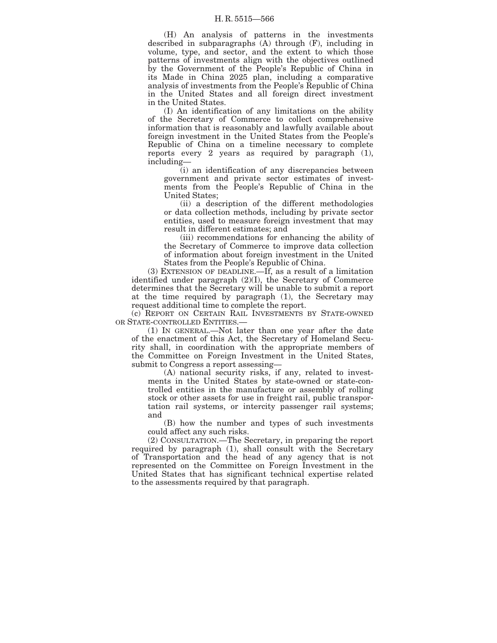(H) An analysis of patterns in the investments described in subparagraphs (A) through (F), including in volume, type, and sector, and the extent to which those patterns of investments align with the objectives outlined by the Government of the People's Republic of China in its Made in China 2025 plan, including a comparative analysis of investments from the People's Republic of China in the United States and all foreign direct investment in the United States.

(I) An identification of any limitations on the ability of the Secretary of Commerce to collect comprehensive information that is reasonably and lawfully available about foreign investment in the United States from the People's Republic of China on a timeline necessary to complete reports every 2 years as required by paragraph (1), including—

(i) an identification of any discrepancies between government and private sector estimates of investments from the People's Republic of China in the United States;

(ii) a description of the different methodologies or data collection methods, including by private sector entities, used to measure foreign investment that may result in different estimates; and

(iii) recommendations for enhancing the ability of the Secretary of Commerce to improve data collection of information about foreign investment in the United States from the People's Republic of China.

(3) EXTENSION OF DEADLINE.—If, as a result of a limitation identified under paragraph (2)(I), the Secretary of Commerce determines that the Secretary will be unable to submit a report at the time required by paragraph (1), the Secretary may request additional time to complete the report.

(c) REPORT ON CERTAIN RAIL INVESTMENTS BY STATE-OWNED OR STATE-CONTROLLED ENTITIES.—

(1) IN GENERAL.—Not later than one year after the date of the enactment of this Act, the Secretary of Homeland Security shall, in coordination with the appropriate members of the Committee on Foreign Investment in the United States, submit to Congress a report assessing—

(A) national security risks, if any, related to investments in the United States by state-owned or state-controlled entities in the manufacture or assembly of rolling stock or other assets for use in freight rail, public transportation rail systems, or intercity passenger rail systems; and

(B) how the number and types of such investments could affect any such risks.

(2) CONSULTATION.—The Secretary, in preparing the report required by paragraph (1), shall consult with the Secretary of Transportation and the head of any agency that is not represented on the Committee on Foreign Investment in the United States that has significant technical expertise related to the assessments required by that paragraph.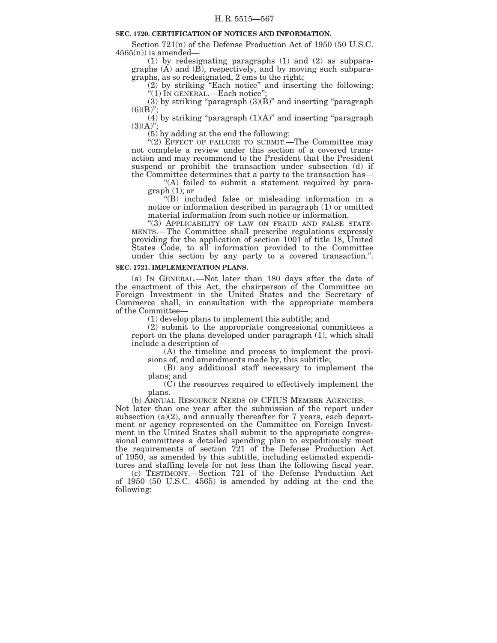#### **SEC. 1720. CERTIFICATION OF NOTICES AND INFORMATION.**

Section 721(n) of the Defense Production Act of 1950 (50 U.S.C.  $4565(n)$  is amended—

(1) by redesignating paragraphs (1) and (2) as subparagraphs  $(A)$  and  $(B)$ , respectively, and by moving such subparagraphs, as so redesignated, 2 ems to the right;

(2) by striking ''Each notice'' and inserting the following: ''(1) IN GENERAL.—Each notice'';

(3) by striking "paragraph  $(3)(\dot{B})$ " and inserting "paragraph  $(6)(B)''$ 

(4) by striking "paragraph  $(1)(A)$ " and inserting "paragraph"  $(3)(A)$ ";

(5) by adding at the end the following:

"(2) EFFECT OF FAILURE TO SUBMIT.—The Committee may not complete a review under this section of a covered transaction and may recommend to the President that the President suspend or prohibit the transaction under subsection (d) if the Committee determines that a party to the transaction has—

"(A) failed to submit a statement required by paragraph (1); or

''(B) included false or misleading information in a notice or information described in paragraph (1) or omitted material information from such notice or information.

"(3) APPLICABILITY OF LAW ON FRAUD AND FALSE STATE-MENTS.—The Committee shall prescribe regulations expressly providing for the application of section 1001 of title 18, United States Code, to all information provided to the Committee under this section by any party to a covered transaction.''.

### **SEC. 1721. IMPLEMENTATION PLANS.**

(a) IN GENERAL.—Not later than 180 days after the date of the enactment of this Act, the chairperson of the Committee on Foreign Investment in the United States and the Secretary of Commerce shall, in consultation with the appropriate members of the Committee—

(1) develop plans to implement this subtitle; and

(2) submit to the appropriate congressional committees a report on the plans developed under paragraph (1), which shall include a description of—

(A) the timeline and process to implement the provisions of, and amendments made by, this subtitle;

(B) any additional staff necessary to implement the plans; and

(C) the resources required to effectively implement the plans.

(b) ANNUAL RESOURCE NEEDS OF CFIUS MEMBER AGENCIES.— Not later than one year after the submission of the report under subsection (a)(2), and annually thereafter for 7 years, each department or agency represented on the Committee on Foreign Investment in the United States shall submit to the appropriate congressional committees a detailed spending plan to expeditiously meet the requirements of section 721 of the Defense Production Act of 1950, as amended by this subtitle, including estimated expenditures and staffing levels for not less than the following fiscal year.

(c) TESTIMONY.—Section 721 of the Defense Production Act of 1950 (50 U.S.C. 4565) is amended by adding at the end the following: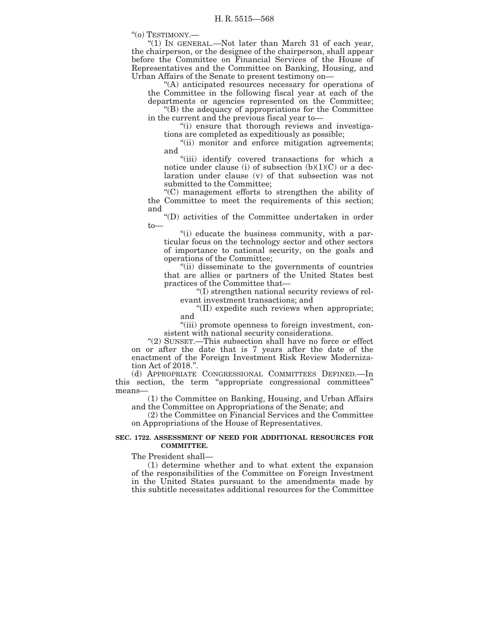"(0) TESTIMONY.-

"(1) IN GENERAL.-Not later than March 31 of each year, the chairperson, or the designee of the chairperson, shall appear before the Committee on Financial Services of the House of Representatives and the Committee on Banking, Housing, and Urban Affairs of the Senate to present testimony on—

"(A) anticipated resources necessary for operations of the Committee in the following fiscal year at each of the departments or agencies represented on the Committee;

''(B) the adequacy of appropriations for the Committee in the current and the previous fiscal year to—

"(i) ensure that thorough reviews and investigations are completed as expeditiously as possible;

"(ii) monitor and enforce mitigation agreements; and

"(iii) identify covered transactions for which a notice under clause (i) of subsection  $(b)(1)(C)$  or a declaration under clause (v) of that subsection was not submitted to the Committee;

''(C) management efforts to strengthen the ability of the Committee to meet the requirements of this section; and

''(D) activities of the Committee undertaken in order to—

''(i) educate the business community, with a particular focus on the technology sector and other sectors of importance to national security, on the goals and operations of the Committee;

''(ii) disseminate to the governments of countries that are allies or partners of the United States best practices of the Committee that—

''(I) strengthen national security reviews of relevant investment transactions; and

''(II) expedite such reviews when appropriate; and

"(iii) promote openness to foreign investment, consistent with national security considerations.

''(2) SUNSET.—This subsection shall have no force or effect on or after the date that is 7 years after the date of the enactment of the Foreign Investment Risk Review Modernization Act of 2018.''.

(d) APPROPRIATE CONGRESSIONAL COMMITTEES DEFINED.—In this section, the term ''appropriate congressional committees'' means—

(1) the Committee on Banking, Housing, and Urban Affairs and the Committee on Appropriations of the Senate; and

(2) the Committee on Financial Services and the Committee on Appropriations of the House of Representatives.

## **SEC. 1722. ASSESSMENT OF NEED FOR ADDITIONAL RESOURCES FOR COMMITTEE.**

The President shall—

(1) determine whether and to what extent the expansion of the responsibilities of the Committee on Foreign Investment in the United States pursuant to the amendments made by this subtitle necessitates additional resources for the Committee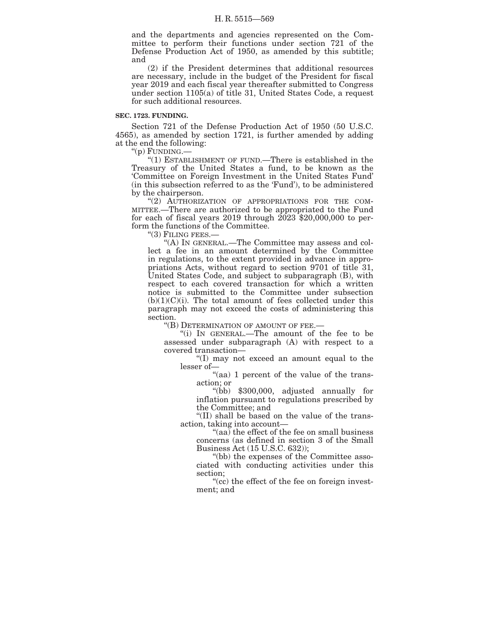and the departments and agencies represented on the Committee to perform their functions under section 721 of the Defense Production Act of 1950, as amended by this subtitle; and

(2) if the President determines that additional resources are necessary, include in the budget of the President for fiscal year 2019 and each fiscal year thereafter submitted to Congress under section 1105(a) of title 31, United States Code, a request for such additional resources.

## **SEC. 1723. FUNDING.**

Section 721 of the Defense Production Act of 1950 (50 U.S.C. 4565), as amended by section 1721, is further amended by adding at the end the following:

''(p) FUNDING.—

''(1) ESTABLISHMENT OF FUND.—There is established in the Treasury of the United States a fund, to be known as the 'Committee on Foreign Investment in the United States Fund' (in this subsection referred to as the 'Fund'), to be administered by the chairperson.

"(2) AUTHORIZATION OF APPROPRIATIONS FOR THE COM-MITTEE.—There are authorized to be appropriated to the Fund for each of fiscal years 2019 through  $2023$  \$20,000,000 to perform the functions of the Committee.

''(3) FILING FEES.—

''(A) IN GENERAL.—The Committee may assess and collect a fee in an amount determined by the Committee in regulations, to the extent provided in advance in appropriations Acts, without regard to section 9701 of title 31, United States Code, and subject to subparagraph (B), with respect to each covered transaction for which a written notice is submitted to the Committee under subsection  $(b)(1)(C)(i)$ . The total amount of fees collected under this paragraph may not exceed the costs of administering this section.

"(B) DETERMINATION OF AMOUNT OF FEE.-

''(i) IN GENERAL.—The amount of the fee to be assessed under subparagraph (A) with respect to a covered transaction—

''(I) may not exceed an amount equal to the lesser of—

"(aa) 1 percent of the value of the transaction; or

''(bb) \$300,000, adjusted annually for inflation pursuant to regulations prescribed by the Committee; and

''(II) shall be based on the value of the transaction, taking into account—

"(aa) the effect of the fee on small business concerns (as defined in section 3 of the Small Business Act (15 U.S.C. 632));

''(bb) the expenses of the Committee associated with conducting activities under this section;

"(cc) the effect of the fee on foreign investment; and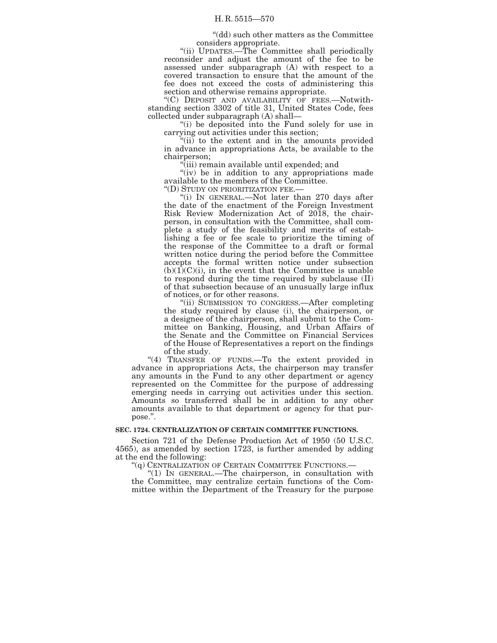''(dd) such other matters as the Committee considers appropriate.

''(ii) UPDATES.—The Committee shall periodically reconsider and adjust the amount of the fee to be assessed under subparagraph (A) with respect to a covered transaction to ensure that the amount of the fee does not exceed the costs of administering this section and otherwise remains appropriate.

''(C) DEPOSIT AND AVAILABILITY OF FEES.—Notwithstanding section 3302 of title 31, United States Code, fees collected under subparagraph (A) shall—

"(i) be deposited into the Fund solely for use in carrying out activities under this section;

''(ii) to the extent and in the amounts provided in advance in appropriations Acts, be available to the chairperson;

''(iii) remain available until expended; and

"(iv) be in addition to any appropriations made available to the members of the Committee.

''(D) STUDY ON PRIORITIZATION FEE.—

''(i) IN GENERAL.—Not later than 270 days after the date of the enactment of the Foreign Investment Risk Review Modernization Act of 2018, the chairperson, in consultation with the Committee, shall complete a study of the feasibility and merits of establishing a fee or fee scale to prioritize the timing of the response of the Committee to a draft or formal written notice during the period before the Committee accepts the formal written notice under subsection  $(b)(1)(C)(i)$ , in the event that the Committee is unable to respond during the time required by subclause (II) of that subsection because of an unusually large influx of notices, or for other reasons.

''(ii) SUBMISSION TO CONGRESS.—After completing the study required by clause (i), the chairperson, or a designee of the chairperson, shall submit to the Committee on Banking, Housing, and Urban Affairs of the Senate and the Committee on Financial Services of the House of Representatives a report on the findings of the study.

"(4) TRANSFER OF FUNDS. To the extent provided in advance in appropriations Acts, the chairperson may transfer any amounts in the Fund to any other department or agency represented on the Committee for the purpose of addressing emerging needs in carrying out activities under this section. Amounts so transferred shall be in addition to any other amounts available to that department or agency for that purpose.''.

# **SEC. 1724. CENTRALIZATION OF CERTAIN COMMITTEE FUNCTIONS.**

Section 721 of the Defense Production Act of 1950 (50 U.S.C. 4565), as amended by section 1723, is further amended by adding at the end the following:<br>"(q) CENTRALIZATION OF CERTAIN COMMITTEE FUNCTIONS.—

"(1) IN GENERAL.—The chairperson, in consultation with the Committee, may centralize certain functions of the Committee within the Department of the Treasury for the purpose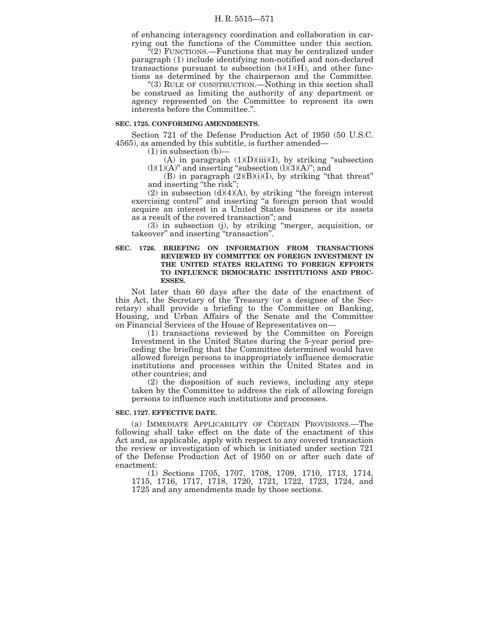of enhancing interagency coordination and collaboration in carrying out the functions of the Committee under this section.

''(2) FUNCTIONS.—Functions that may be centralized under paragraph (1) include identifying non-notified and non-declared transactions pursuant to subsection  $(b)(1)(H)$ , and other functions as determined by the chairperson and the Committee.

"(3) RULE OF CONSTRUCTION.—Nothing in this section shall be construed as limiting the authority of any department or agency represented on the Committee to represent its own interests before the Committee.''.

#### **SEC. 1725. CONFORMING AMENDMENTS.**

Section 721 of the Defense Production Act of 1950 (50 U.S.C. 4565), as amended by this subtitle, is further amended—

 $(1)$  in subsection  $(b)$ –

(A) in paragraph  $(1)(D)(iii)(I)$ , by striking "subsection  $(l)(1)(A)$ " and inserting "subsection  $(l)(3)(A)$ "; and

 $(B)$  in paragraph  $(2)(B)(i)(I)$ , by striking "that threat" and inserting "the risk";

 $(2)$  in subsection  $(d)(4)(A)$ , by striking "the foreign interest exercising control" and inserting "a foreign person that would acquire an interest in a United States business or its assets as a result of the covered transaction''; and

(3) in subsection (j), by striking ''merger, acquisition, or takeover'' and inserting ''transaction''.

## **SEC. 1726. BRIEFING ON INFORMATION FROM TRANSACTIONS REVIEWED BY COMMITTEE ON FOREIGN INVESTMENT IN THE UNITED STATES RELATING TO FOREIGN EFFORTS TO INFLUENCE DEMOCRATIC INSTITUTIONS AND PROC-ESSES.**

Not later than 60 days after the date of the enactment of this Act, the Secretary of the Treasury (or a designee of the Secretary) shall provide a briefing to the Committee on Banking, Housing, and Urban Affairs of the Senate and the Committee on Financial Services of the House of Representatives on—

(1) transactions reviewed by the Committee on Foreign Investment in the United States during the 5-year period preceding the briefing that the Committee determined would have allowed foreign persons to inappropriately influence democratic institutions and processes within the United States and in other countries; and

(2) the disposition of such reviews, including any steps taken by the Committee to address the risk of allowing foreign persons to influence such institutions and processes.

#### **SEC. 1727. EFFECTIVE DATE.**

(a) IMMEDIATE APPLICABILITY OF CERTAIN PROVISIONS.—The following shall take effect on the date of the enactment of this Act and, as applicable, apply with respect to any covered transaction the review or investigation of which is initiated under section 721 of the Defense Production Act of 1950 on or after such date of enactment:

(1) Sections 1705, 1707, 1708, 1709, 1710, 1713, 1714, 1715, 1716, 1717, 1718, 1720, 1721, 1722, 1723, 1724, and 1725 and any amendments made by those sections.